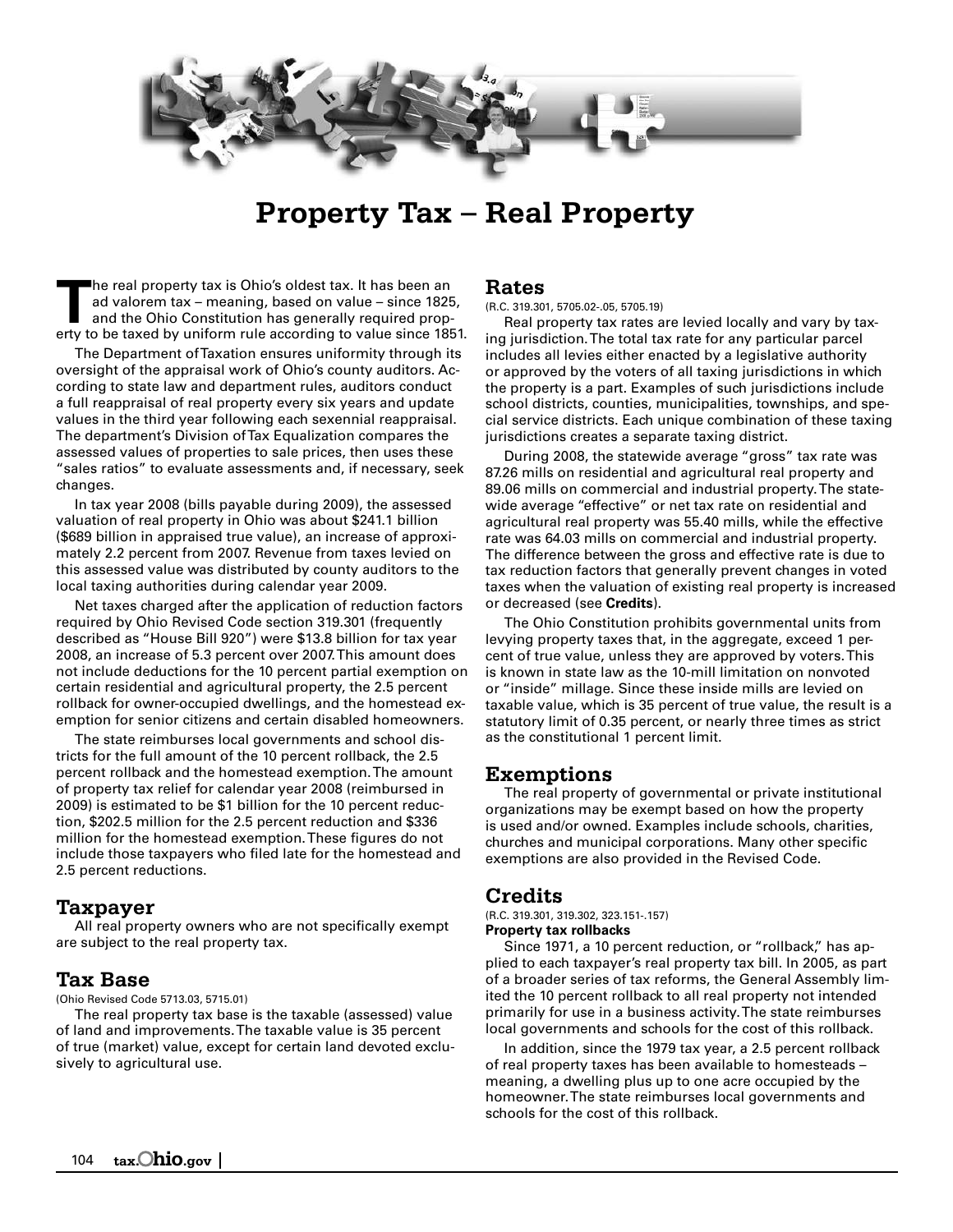

# **Property Tax – Real Property**

The real property tax is Ohio's oldest tax. It has been an ad valorem tax – meaning, based on value – since 1825<br>and the Ohio Constitution has generally required prop-<br>extern the toward by uniform rule agents to value sinc ad valorem tax – meaning, based on value – since 1825, erty to be taxed by uniform rule according to value since 1851.

The Department of Taxation ensures uniformity through its oversight of the appraisal work of Ohio's county auditors. According to state law and department rules, auditors conduct a full reappraisal of real property every six years and update values in the third year following each sexennial reappraisal. The department's Division of Tax Equalization compares the assessed values of properties to sale prices, then uses these "sales ratios" to evaluate assessments and, if necessary, seek changes.

In tax year 2008 (bills payable during 2009), the assessed valuation of real property in Ohio was about \$241.1 billion (\$689 billion in appraised true value), an increase of approximately 2.2 percent from 2007. Revenue from taxes levied on this assessed value was distributed by county auditors to the local taxing authorities during calendar year 2009.

Net taxes charged after the application of reduction factors required by Ohio Revised Code section 319.301 (frequently described as "House Bill 920") were \$13.8 billion for tax year 2008, an increase of 5.3 percent over 2007. This amount does not include deductions for the 10 percent partial exemption on certain residential and agricultural property, the 2.5 percent rollback for owner-occupied dwellings, and the homestead exemption for senior citizens and certain disabled homeowners.

The state reimburses local governments and school districts for the full amount of the 10 percent rollback, the 2.5 percent rollback and the homestead exemption. The amount of property tax relief for calendar year 2008 (reimbursed in 2009) is estimated to be \$1 billion for the 10 percent reduction, \$202.5 million for the 2.5 percent reduction and \$336 million for the homestead exemption. These figures do not include those taxpayers who filed late for the homestead and 2.5 percent reductions.

## **Taxpayer**

All real property owners who are not specifically exempt are subject to the real property tax.

### **Tax Base**

(Ohio Revised Code 5713.03, 5715.01)

The real property tax base is the taxable (assessed) value of land and improvements. The taxable value is 35 percent of true (market) value, except for certain land devoted exclusively to agricultural use.

### **Rates**

(R.C. 319.301, 5705.02-.05, 5705.19)

Real property tax rates are levied locally and vary by taxing jurisdiction. The total tax rate for any particular parcel includes all levies either enacted by a legislative authority or approved by the voters of all taxing jurisdictions in which the property is a part. Examples of such jurisdictions include school districts, counties, municipalities, townships, and special service districts. Each unique combination of these taxing jurisdictions creates a separate taxing district.

During 2008, the statewide average "gross" tax rate was 87.26 mills on residential and agricultural real property and 89.06 mills on commercial and industrial property. The statewide average "effective" or net tax rate on residential and agricultural real property was 55.40 mills, while the effective rate was 64.03 mills on commercial and industrial property. The difference between the gross and effective rate is due to tax reduction factors that generally prevent changes in voted taxes when the valuation of existing real property is increased or decreased (see **Credits**).

The Ohio Constitution prohibits governmental units from levying property taxes that, in the aggregate, exceed 1 percent of true value, unless they are approved by voters. This is known in state law as the 10-mill limitation on nonvoted or "inside" millage. Since these inside mills are levied on taxable value, which is 35 percent of true value, the result is a statutory limit of 0.35 percent, or nearly three times as strict as the constitutional 1 percent limit.

### **Exemptions**

The real property of governmental or private institutional organizations may be exempt based on how the property is used and/or owned. Examples include schools, charities, churches and municipal corporations. Many other specific exemptions are also provided in the Revised Code.

## **Credits**

(R.C. 319.301, 319.302, 323.151-.157) **Property tax rollbacks** 

Since 1971, a 10 percent reduction, or "rollback," has applied to each taxpayer's real property tax bill. In 2005, as part of a broader series of tax reforms, the General Assembly limited the 10 percent rollback to all real property not intended primarily for use in a business activity. The state reimburses local governments and schools for the cost of this rollback.

In addition, since the 1979 tax year, a 2.5 percent rollback of real property taxes has been available to homesteads – meaning, a dwelling plus up to one acre occupied by the homeowner. The state reimburses local governments and schools for the cost of this rollback.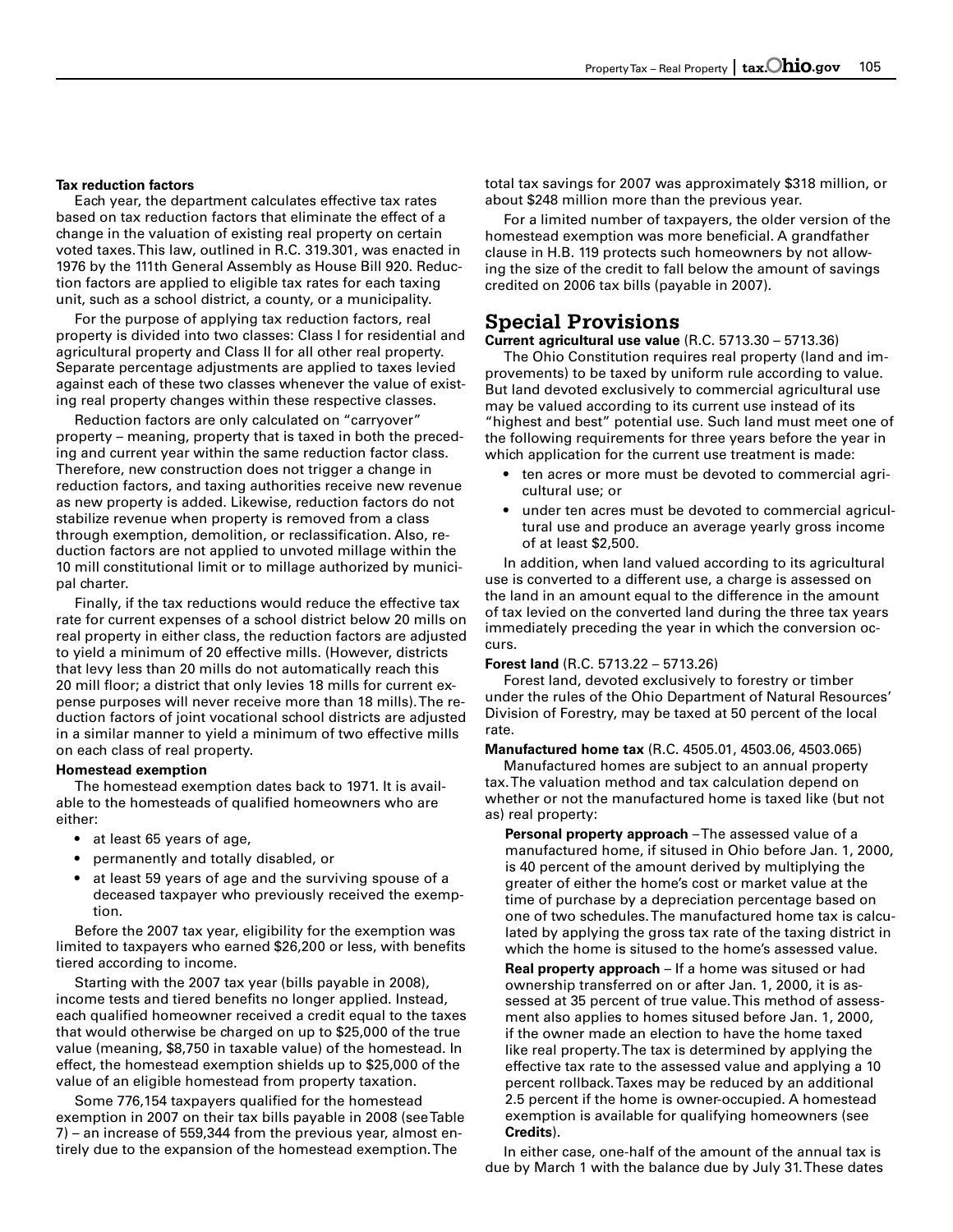#### **Tax reduction factors**

Each year, the department calculates effective tax rates based on tax reduction factors that eliminate the effect of a change in the valuation of existing real property on certain voted taxes. This law, outlined in R.C. 319.301, was enacted in 1976 by the 111th General Assembly as House Bill 920. Reduction factors are applied to eligible tax rates for each taxing unit, such as a school district, a county, or a municipality.

For the purpose of applying tax reduction factors, real property is divided into two classes: Class I for residential and agricultural property and Class II for all other real property. Separate percentage adjustments are applied to taxes levied against each of these two classes whenever the value of existing real property changes within these respective classes.

Reduction factors are only calculated on "carryover" property – meaning, property that is taxed in both the preceding and current year within the same reduction factor class. Therefore, new construction does not trigger a change in reduction factors, and taxing authorities receive new revenue as new property is added. Likewise, reduction factors do not stabilize revenue when property is removed from a class through exemption, demolition, or reclassification. Also, reduction factors are not applied to unvoted millage within the 10 mill constitutional limit or to millage authorized by municipal charter.

Finally, if the tax reductions would reduce the effective tax rate for current expenses of a school district below 20 mills on real property in either class, the reduction factors are adjusted to yield a minimum of 20 effective mills. (However, districts that levy less than 20 mills do not automatically reach this 20 mill floor; a district that only levies 18 mills for current expense purposes will never receive more than 18 mills). The reduction factors of joint vocational school districts are adjusted in a similar manner to yield a minimum of two effective mills on each class of real property.

#### **Homestead exemption**

The homestead exemption dates back to 1971. It is available to the homesteads of qualified homeowners who are either:

- at least 65 years of age,
- permanently and totally disabled, or
- at least 59 years of age and the surviving spouse of a deceased taxpayer who previously received the exemption.

Before the 2007 tax year, eligibility for the exemption was limited to taxpayers who earned \$26,200 or less, with benefits tiered according to income.

Starting with the 2007 tax year (bills payable in 2008), income tests and tiered benefits no longer applied. Instead, each qualified homeowner received a credit equal to the taxes that would otherwise be charged on up to \$25,000 of the true value (meaning, \$8,750 in taxable value) of the homestead. In effect, the homestead exemption shields up to \$25,000 of the value of an eligible homestead from property taxation.

Some 776,154 taxpayers qualified for the homestead exemption in 2007 on their tax bills payable in 2008 (see Table 7) – an increase of 559,344 from the previous year, almost entirely due to the expansion of the homestead exemption. The

total tax savings for 2007 was approximately \$318 million, or about \$248 million more than the previous year.

For a limited number of taxpayers, the older version of the homestead exemption was more beneficial. A grandfather clause in H.B. 119 protects such homeowners by not allowing the size of the credit to fall below the amount of savings credited on 2006 tax bills (payable in 2007).

# **Special Provisions**

**Current agricultural use value** (R.C. 5713.30 – 5713.36)

The Ohio Constitution requires real property (land and improvements) to be taxed by uniform rule according to value. But land devoted exclusively to commercial agricultural use may be valued according to its current use instead of its "highest and best" potential use. Such land must meet one of the following requirements for three years before the year in which application for the current use treatment is made:

- ten acres or more must be devoted to commercial agricultural use; or
- under ten acres must be devoted to commercial agricultural use and produce an average yearly gross income of at least \$2,500.

In addition, when land valued according to its agricultural use is converted to a different use, a charge is assessed on the land in an amount equal to the difference in the amount of tax levied on the converted land during the three tax years immediately preceding the year in which the conversion occurs.

### **Forest land** (R.C. 5713.22 – 5713.26)

Forest land, devoted exclusively to forestry or timber under the rules of the Ohio Department of Natural Resources' Division of Forestry, may be taxed at 50 percent of the local rate.

**Manufactured home tax** (R.C. 4505.01, 4503.06, 4503.065)

Manufactured homes are subject to an annual property tax. The valuation method and tax calculation depend on whether or not the manufactured home is taxed like (but not as) real property:

**Personal property approach** – The assessed value of a manufactured home, if sitused in Ohio before Jan. 1, 2000, is 40 percent of the amount derived by multiplying the greater of either the home's cost or market value at the time of purchase by a depreciation percentage based on one of two schedules. The manufactured home tax is calculated by applying the gross tax rate of the taxing district in which the home is sitused to the home's assessed value.

**Real property approach** – If a home was sitused or had ownership transferred on or after Jan. 1, 2000, it is assessed at 35 percent of true value. This method of assessment also applies to homes sitused before Jan. 1, 2000, if the owner made an election to have the home taxed like real property. The tax is determined by applying the effective tax rate to the assessed value and applying a 10 percent rollback. Taxes may be reduced by an additional 2.5 percent if the home is owner-occupied. A homestead exemption is available for qualifying homeowners (see **Credits**).

In either case, one-half of the amount of the annual tax is due by March 1 with the balance due by July 31. These dates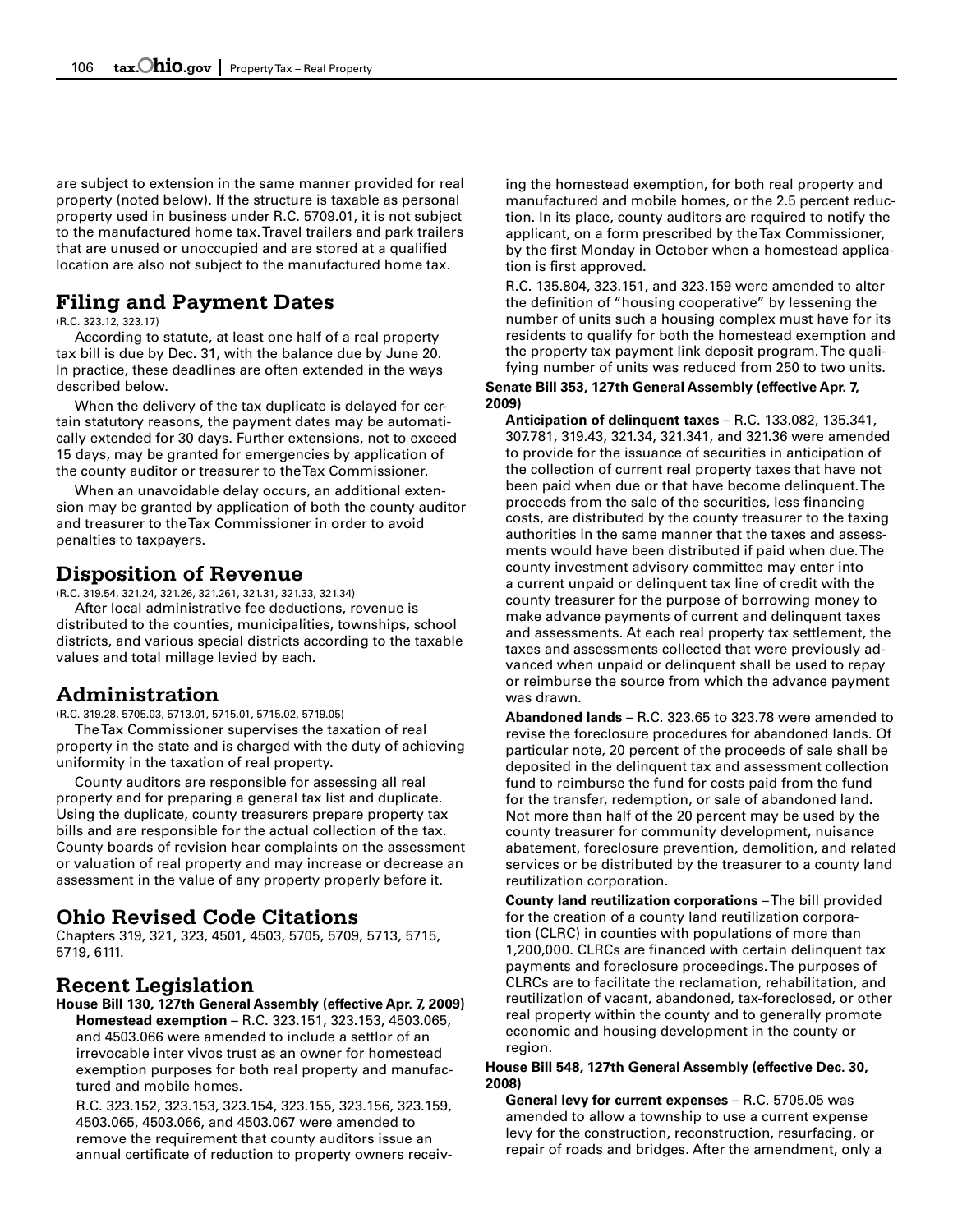are subject to extension in the same manner provided for real property (noted below). If the structure is taxable as personal property used in business under R.C. 5709.01, it is not subject to the manufactured home tax. Travel trailers and park trailers that are unused or unoccupied and are stored at a qualified location are also not subject to the manufactured home tax.

# **Filing and Payment Dates**

#### (R.C. 323.12, 323.17)

According to statute, at least one half of a real property tax bill is due by Dec. 31, with the balance due by June 20. In practice, these deadlines are often extended in the ways described below.

When the delivery of the tax duplicate is delayed for certain statutory reasons, the payment dates may be automatically extended for 30 days. Further extensions, not to exceed 15 days, may be granted for emergencies by application of the county auditor or treasurer to the Tax Commissioner.

When an unavoidable delay occurs, an additional extension may be granted by application of both the county auditor and treasurer to the Tax Commissioner in order to avoid penalties to taxpayers.

# **Disposition of Revenue**

(R.C. 319.54, 321.24, 321.26, 321.261, 321.31, 321.33, 321.34)

After local administrative fee deductions, revenue is distributed to the counties, municipalities, townships, school districts, and various special districts according to the taxable values and total millage levied by each.

# **Administration**

(R.C. 319.28, 5705.03, 5713.01, 5715.01, 5715.02, 5719.05)

The Tax Commissioner supervises the taxation of real property in the state and is charged with the duty of achieving uniformity in the taxation of real property.

County auditors are responsible for assessing all real property and for preparing a general tax list and duplicate. Using the duplicate, county treasurers prepare property tax bills and are responsible for the actual collection of the tax. County boards of revision hear complaints on the assessment or valuation of real property and may increase or decrease an assessment in the value of any property properly before it.

# **Ohio Revised Code Citations**

Chapters 319, 321, 323, 4501, 4503, 5705, 5709, 5713, 5715, 5719, 6111.

# **Recent Legislation**

**House Bill 130, 127th General Assembly (effective Apr. 7, 2009) Homestead exemption** – R.C. 323.151, 323.153, 4503.065, and 4503.066 were amended to include a settlor of an irrevocable inter vivos trust as an owner for homestead exemption purposes for both real property and manufactured and mobile homes.

R.C. 323.152, 323.153, 323.154, 323.155, 323.156, 323.159, 4503.065, 4503.066, and 4503.067 were amended to remove the requirement that county auditors issue an annual certificate of reduction to property owners receiving the homestead exemption, for both real property and manufactured and mobile homes, or the 2.5 percent reduction. In its place, county auditors are required to notify the applicant, on a form prescribed by the Tax Commissioner, by the first Monday in October when a homestead application is first approved.

R.C. 135.804, 323.151, and 323.159 were amended to alter the definition of "housing cooperative" by lessening the number of units such a housing complex must have for its residents to qualify for both the homestead exemption and the property tax payment link deposit program. The qualifying number of units was reduced from 250 to two units.

### **Senate Bill 353, 127th General Assembly (effective Apr. 7, 2009)**

**Anticipation of delinquent taxes** – R.C. 133.082, 135.341, 307.781, 319.43, 321.34, 321.341, and 321.36 were amended to provide for the issuance of securities in anticipation of the collection of current real property taxes that have not been paid when due or that have become delinquent. The proceeds from the sale of the securities, less financing costs, are distributed by the county treasurer to the taxing authorities in the same manner that the taxes and assessments would have been distributed if paid when due. The county investment advisory committee may enter into a current unpaid or delinquent tax line of credit with the county treasurer for the purpose of borrowing money to make advance payments of current and delinquent taxes and assessments. At each real property tax settlement, the taxes and assessments collected that were previously advanced when unpaid or delinquent shall be used to repay or reimburse the source from which the advance payment was drawn.

**Abandoned lands** – R.C. 323.65 to 323.78 were amended to revise the foreclosure procedures for abandoned lands. Of particular note, 20 percent of the proceeds of sale shall be deposited in the delinquent tax and assessment collection fund to reimburse the fund for costs paid from the fund for the transfer, redemption, or sale of abandoned land. Not more than half of the 20 percent may be used by the county treasurer for community development, nuisance abatement, foreclosure prevention, demolition, and related services or be distributed by the treasurer to a county land reutilization corporation.

**County land reutilization corporations** –The bill provided for the creation of a county land reutilization corporation (CLRC) in counties with populations of more than 1,200,000. CLRCs are financed with certain delinquent tax payments and foreclosure proceedings. The purposes of CLRCs are to facilitate the reclamation, rehabilitation, and reutilization of vacant, abandoned, tax-foreclosed, or other real property within the county and to generally promote economic and housing development in the county or region.

### **House Bill 548, 127th General Assembly (effective Dec. 30, 2008)**

**General levy for current expenses** – R.C. 5705.05 was amended to allow a township to use a current expense levy for the construction, reconstruction, resurfacing, or repair of roads and bridges. After the amendment, only a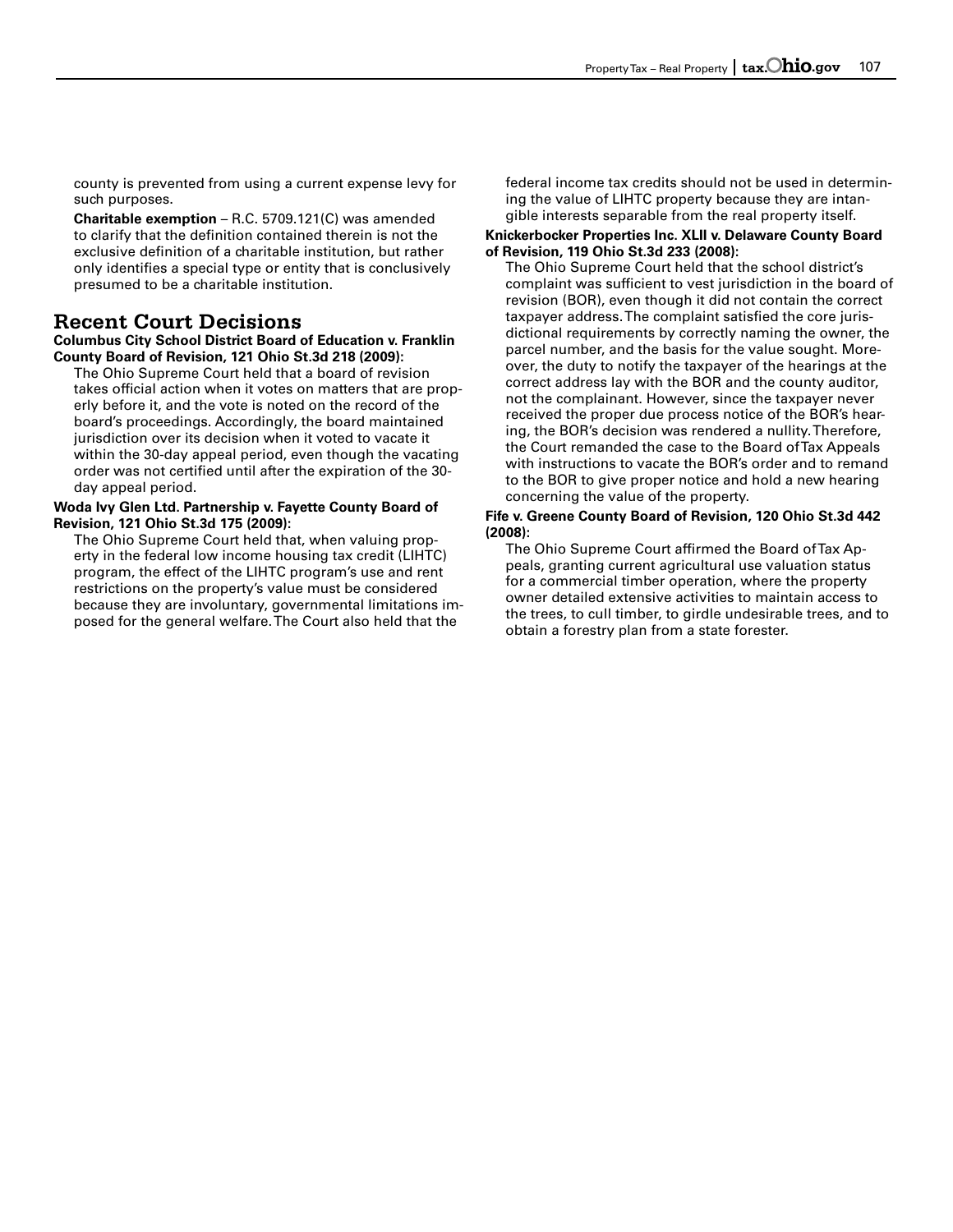county is prevented from using a current expense levy for such purposes.

**Charitable exemption** – R.C. 5709.121(C) was amended to clarify that the definition contained therein is not the exclusive definition of a charitable institution, but rather only identifies a special type or entity that is conclusively presumed to be a charitable institution.

# **Recent Court Decisions**

**Columbus City School District Board of Education v. Franklin County Board of Revision, 121 Ohio St.3d 218 (2009):** 

The Ohio Supreme Court held that a board of revision takes official action when it votes on matters that are properly before it, and the vote is noted on the record of the board's proceedings. Accordingly, the board maintained jurisdiction over its decision when it voted to vacate it within the 30-day appeal period, even though the vacating order was not certified until after the expiration of the 30 day appeal period.

#### **Woda Ivy Glen Ltd. Partnership v. Fayette County Board of Revision, 121 Ohio St.3d 175 (2009):**

The Ohio Supreme Court held that, when valuing property in the federal low income housing tax credit (LIHTC) program, the effect of the LIHTC program's use and rent restrictions on the property's value must be considered because they are involuntary, governmental limitations imposed for the general welfare. The Court also held that the

federal income tax credits should not be used in determining the value of LIHTC property because they are intangible interests separable from the real property itself.

#### **Knickerbocker Properties Inc. XLII v. Delaware County Board of Revision, 119 Ohio St.3d 233 (2008):**

The Ohio Supreme Court held that the school district's complaint was sufficient to vest jurisdiction in the board of revision (BOR), even though it did not contain the correct taxpayer address. The complaint satisfied the core jurisdictional requirements by correctly naming the owner, the parcel number, and the basis for the value sought. Moreover, the duty to notify the taxpayer of the hearings at the correct address lay with the BOR and the county auditor, not the complainant. However, since the taxpayer never received the proper due process notice of the BOR's hearing, the BOR's decision was rendered a nullity. Therefore, the Court remanded the case to the Board of Tax Appeals with instructions to vacate the BOR's order and to remand to the BOR to give proper notice and hold a new hearing concerning the value of the property.

### **Fife v. Greene County Board of Revision, 120 Ohio St.3d 442 (2008):**

The Ohio Supreme Court affirmed the Board of Tax Appeals, granting current agricultural use valuation status for a commercial timber operation, where the property owner detailed extensive activities to maintain access to the trees, to cull timber, to girdle undesirable trees, and to obtain a forestry plan from a state forester.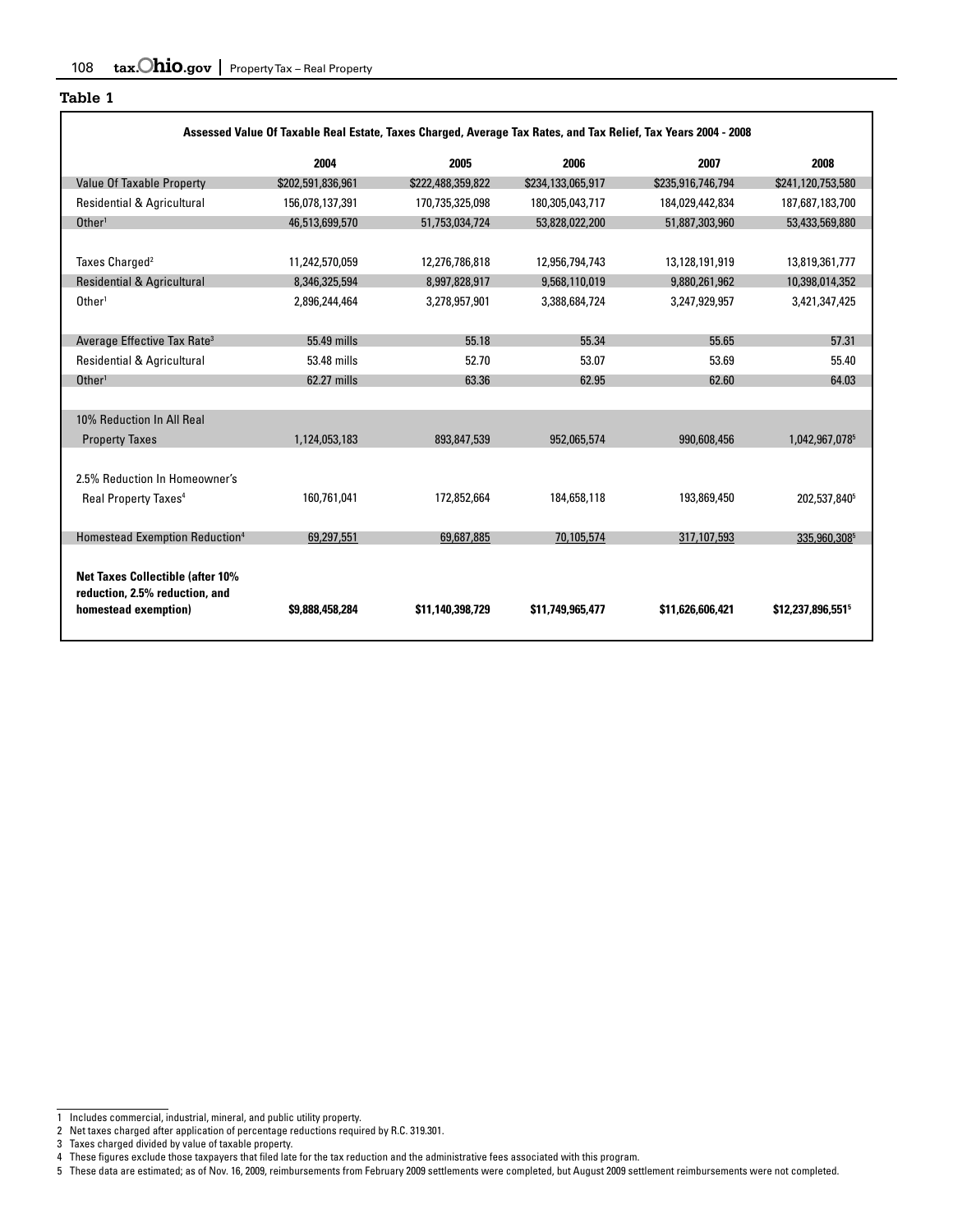| Assessed Value Of Taxable Real Estate, Taxes Charged, Average Tax Rates, and Tax Relief, Tax Years 2004 - 2008 |                   |                   |                   |                               |  |  |  |  |  |  |
|----------------------------------------------------------------------------------------------------------------|-------------------|-------------------|-------------------|-------------------------------|--|--|--|--|--|--|
| 2004                                                                                                           | 2005              | 2006              | 2007              | 2008                          |  |  |  |  |  |  |
| \$202,591,836,961                                                                                              | \$222,488,359,822 | \$234.133.065.917 | \$235,916,746,794 | \$241,120,753,580             |  |  |  |  |  |  |
| 156,078,137,391                                                                                                | 170,735,325,098   | 180,305,043,717   | 184,029,442,834   | 187,687,183,700               |  |  |  |  |  |  |
| 46,513,699,570                                                                                                 | 51,753,034,724    | 53,828,022,200    | 51,887,303,960    | 53,433,569,880                |  |  |  |  |  |  |
|                                                                                                                |                   |                   |                   |                               |  |  |  |  |  |  |
| 11,242,570,059                                                                                                 | 12,276,786,818    | 12,956,794,743    | 13,128,191,919    | 13,819,361,777                |  |  |  |  |  |  |
| 8,346,325,594                                                                                                  | 8,997,828,917     | 9,568,110,019     | 9,880,261,962     | 10,398,014,352                |  |  |  |  |  |  |
| 2,896,244,464                                                                                                  | 3,278,957,901     | 3,388,684,724     | 3,247,929,957     | 3,421,347,425                 |  |  |  |  |  |  |
|                                                                                                                |                   |                   |                   |                               |  |  |  |  |  |  |
| 55,49 mills                                                                                                    | 55.18             | 55.34             | 55.65             | 57.31                         |  |  |  |  |  |  |
| 53.48 mills                                                                                                    | 52.70             | 53.07             | 53.69             | 55.40                         |  |  |  |  |  |  |
| 62.27 mills                                                                                                    | 63.36             | 62.95             | 62.60             | 64.03                         |  |  |  |  |  |  |
|                                                                                                                |                   |                   |                   |                               |  |  |  |  |  |  |
|                                                                                                                |                   |                   |                   |                               |  |  |  |  |  |  |
| 1,124,053,183                                                                                                  | 893,847,539       | 952,065,574       | 990,608,456       | 1,042,967,0785                |  |  |  |  |  |  |
|                                                                                                                |                   |                   |                   |                               |  |  |  |  |  |  |
|                                                                                                                |                   |                   |                   |                               |  |  |  |  |  |  |
| 160,761,041                                                                                                    | 172,852,664       | 184,658,118       | 193,869,450       | 202,537,840 <sup>5</sup>      |  |  |  |  |  |  |
|                                                                                                                |                   |                   |                   |                               |  |  |  |  |  |  |
| 69.297.551                                                                                                     | 69.687.885        | 70.105.574        | 317,107.593       | 335.960.3085                  |  |  |  |  |  |  |
| \$9,888,458,284                                                                                                | \$11,140,398,729  | \$11.749.965.477  | \$11,626,606,421  | \$12,237,896,551 <sup>5</sup> |  |  |  |  |  |  |
|                                                                                                                |                   |                   |                   |                               |  |  |  |  |  |  |

٦

5 These data are estimated; as of Nov. 16, 2009, reimbursements from February 2009 settlements were completed, but August 2009 settlement reimbursements were not completed.

<sup>1</sup> Includes commercial, industrial, mineral, and public utility property.

<sup>2</sup> Net taxes charged after application of percentage reductions required by R.C. 319.301.<br>3 Taxes charged divided by value of taxable property.<br>4 These figures exclude those taxpayers that filed late for the tax reduc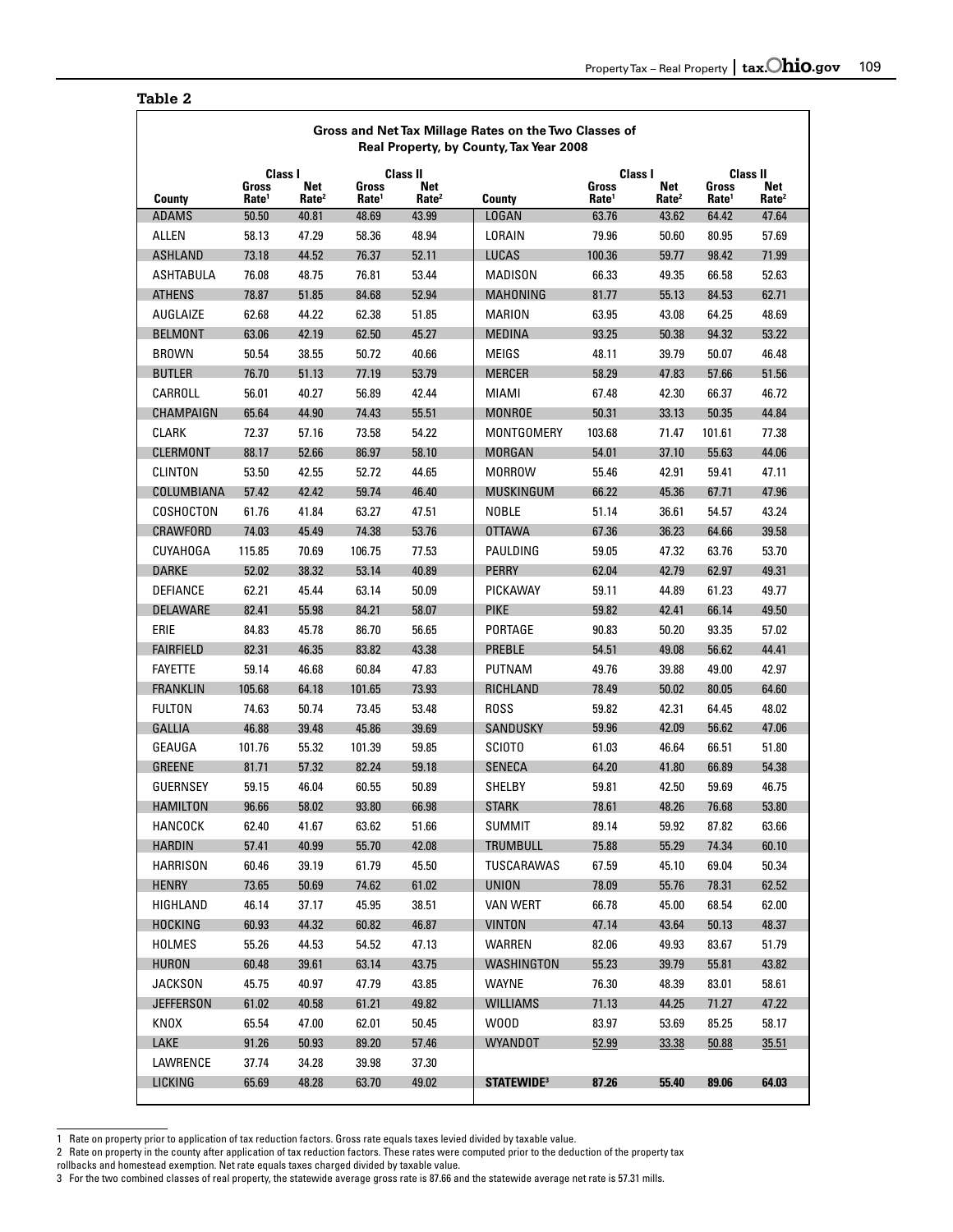٦

### **Table 2**

 $\Gamma$ 

|                  | Gross and Net Tax Millage Rates on the Two Classes of<br>Real Property, by County, Tax Year 2008 |                          |                                   |                          |                               |                            |                          |                            |                          |  |
|------------------|--------------------------------------------------------------------------------------------------|--------------------------|-----------------------------------|--------------------------|-------------------------------|----------------------------|--------------------------|----------------------------|--------------------------|--|
|                  |                                                                                                  | Class I                  |                                   | Class II                 |                               | Class I                    |                          |                            | Class II                 |  |
| County           | Gross<br>Rate <sup>1</sup>                                                                       | Net<br>Rate <sup>2</sup> | <b>Gross</b><br>Rate <sup>1</sup> | Net<br>Rate <sup>2</sup> | County                        | Gross<br>Rate <sup>1</sup> | Net<br>Rate <sup>2</sup> | Gross<br>Rate <sup>1</sup> | Net<br>Rate <sup>2</sup> |  |
| <b>ADAMS</b>     | 50.50                                                                                            | 40.81                    | 48.69                             | 43.99                    | LOGAN                         | 63.76                      | 43.62                    | 64.42                      | 47.64                    |  |
| <b>ALLEN</b>     | 58.13                                                                                            | 47.29                    | 58.36                             | 48.94                    | LORAIN                        | 79.96                      | 50.60                    | 80.95                      | 57.69                    |  |
| <b>ASHLAND</b>   | 73.18                                                                                            | 44.52                    | 76.37                             | 52.11                    | <b>LUCAS</b>                  | 100.36                     | 59.77                    | 98.42                      | 71.99                    |  |
| ASHTABULA        | 76.08                                                                                            | 48.75                    | 76.81                             | 53.44                    | MADISON                       | 66.33                      | 49.35                    | 66.58                      | 52.63                    |  |
| <b>ATHENS</b>    | 78.87                                                                                            | 51.85                    | 84.68                             | 52.94                    | MAHONING                      | 81.77                      | 55.13                    | 84.53                      | 62.71                    |  |
| AUGLAIZE         | 62.68                                                                                            | 44.22                    | 62.38                             | 51.85                    | MARION                        | 63.95                      | 43.08                    | 64.25                      | 48.69                    |  |
| <b>BELMONT</b>   | 63.06                                                                                            | 42.19                    | 62.50                             | 45.27                    | <b>MEDINA</b>                 | 93.25                      | 50.38                    | 94.32                      | 53.22                    |  |
| <b>BROWN</b>     | 50.54                                                                                            | 38.55                    | 50.72                             | 40.66                    | MEIGS                         | 48.11                      | 39.79                    | 50.07                      | 46.48                    |  |
| <b>BUTLER</b>    | 76.70                                                                                            | 51.13                    | 77.19                             | 53.79                    | <b>MERCER</b>                 | 58.29                      | 47.83                    | 57.66                      | 51.56                    |  |
| CARROLL          | 56.01                                                                                            | 40.27                    | 56.89                             | 42.44                    | MIAMI                         | 67.48                      | 42.30                    | 66.37                      | 46.72                    |  |
| CHAMPAIGN        | 65.64                                                                                            | 44.90                    | 74.43                             | 55.51                    | <b>MONROE</b>                 | 50.31                      | 33.13                    | 50.35                      | 44.84                    |  |
| CLARK            | 72.37                                                                                            | 57.16                    | 73.58                             | 54.22                    | MONTGOMERY                    | 103.68                     | 71.47                    | 101.61                     | 77.38                    |  |
| CLERMONT         | 88.17                                                                                            | 52.66                    | 86.97                             | 58.10                    | <b>MORGAN</b>                 | 54.01                      | 37.10                    | 55.63                      | 44.06                    |  |
| CLINTON          | 53.50                                                                                            | 42.55                    | 52.72                             | 44.65                    | MORROW                        | 55.46                      | 42.91                    | 59.41                      | 47.11                    |  |
| COLUMBIANA       | 57.42                                                                                            | 42.42                    | 59.74                             | 46.40                    | MUSKINGUM                     | 66.22                      | 45.36                    | 67.71                      | 47.96                    |  |
| COSHOCTON        | 61.76                                                                                            | 41.84                    | 63.27                             | 47.51                    | NOBLE                         | 51.14                      | 36.61                    | 54.57                      | 43.24                    |  |
| CRAWFORD         | 74.03                                                                                            | 45.49                    | 74.38                             | 53.76                    | <b>OTTAWA</b>                 | 67.36                      | 36.23                    | 64.66                      | 39.58                    |  |
| CUYAHOGA         | 115.85                                                                                           | 70.69                    | 106.75                            | 77.53                    | PAULDING                      | 59.05                      | 47.32                    | 63.76                      | 53.70                    |  |
| <b>DARKE</b>     | 52.02                                                                                            | 38.32                    | 53.14                             | 40.89                    | <b>PERRY</b>                  | 62.04                      | 42.79                    | 62.97                      | 49.31                    |  |
| DEFIANCE         | 62.21                                                                                            | 45.44                    | 63.14                             | 50.09                    | PICKAWAY                      | 59.11                      | 44.89                    | 61.23                      | 49.77                    |  |
| DELAWARE         | 82.41                                                                                            | 55.98                    | 84.21                             | 58.07                    | <b>PIKE</b>                   | 59.82                      | 42.41                    | 66.14                      | 49.50                    |  |
| ERIE             | 84.83                                                                                            | 45.78                    | 86.70                             | 56.65                    | PORTAGE                       | 90.83                      | 50.20                    | 93.35                      | 57.02                    |  |
| <b>FAIRFIELD</b> | 82.31                                                                                            | 46.35                    | 83.82                             | 43.38                    | PREBLE                        | 54.51                      | 49.08                    | 56.62                      | 44.41                    |  |
| <b>FAYETTE</b>   | 59.14                                                                                            | 46.68                    | 60.84                             | 47.83                    | PUTNAM                        | 49.76                      | 39.88                    | 49.00                      | 42.97                    |  |
| <b>FRANKLIN</b>  | 105.68                                                                                           | 64.18                    | 101.65                            | 73.93                    | RICHLAND                      | 78.49                      | 50.02                    | 80.05                      | 64.60                    |  |
| <b>FULTON</b>    | 74.63                                                                                            | 50.74                    | 73.45                             | 53.48                    | <b>ROSS</b>                   | 59.82                      | 42.31                    | 64.45                      | 48.02                    |  |
| <b>GALLIA</b>    | 46.88                                                                                            | 39.48                    | 45.86                             | 39.69                    | SANDUSKY                      | 59.96                      | 42.09                    | 56.62                      | 47.06                    |  |
| GEAUGA           | 101.76                                                                                           | 55.32                    | 101.39                            | 59.85                    | <b>SCIOTO</b>                 | 61.03                      | 46.64                    | 66.51                      | 51.80                    |  |
| <b>GREENE</b>    | 81.71                                                                                            | 57.32                    | 82.24                             | 59.18                    | <b>SENECA</b>                 | 64.20                      | 41.80                    | 66.89                      | 54.38                    |  |
| <b>GUERNSEY</b>  |                                                                                                  |                          |                                   |                          | SHELBY                        |                            |                          |                            | 46.75                    |  |
| <b>HAMILTON</b>  | 59.15                                                                                            | 46.04                    | 60.55                             | 50.89                    |                               | 59.81                      | 42.50                    | 59.69                      |                          |  |
| HANCOCK          | 96.66<br>62.40                                                                                   | 58.02<br>41.67           | 93.80<br>63.62                    | 66.98                    | <b>STARK</b>                  | 78.61<br>89.14             | 48.26<br>59.92           | 76.68                      | 53.80<br>63.66           |  |
|                  |                                                                                                  |                          |                                   | 51.66                    | <b>SUMMIT</b>                 |                            |                          | 87.82                      |                          |  |
| <b>HARDIN</b>    | 57.41                                                                                            | 40.99                    | 55.70                             | 42.08                    | TRUMBULL                      | 75.88                      | 55.29                    | 74.34                      | 60.10                    |  |
| <b>HARRISON</b>  | 60.46                                                                                            | 39.19                    | 61.79                             | 45.50                    | TUSCARAWAS                    | 67.59                      | 45.10                    | 69.04                      | 50.34                    |  |
| <b>HENRY</b>     | 73.65                                                                                            | 50.69                    | 74.62                             | 61.02                    | <b>UNION</b>                  | 78.09                      | 55.76                    | 78.31                      | 62.52                    |  |
| HIGHLAND         | 46.14                                                                                            | 37.17                    | 45.95                             | 38.51                    | <b>VAN WERT</b>               | 66.78                      | 45.00                    | 68.54                      | 62.00                    |  |
| <b>HOCKING</b>   | 60.93                                                                                            | 44.32                    | 60.82                             | 46.87                    | <b>VINTON</b>                 | 47.14                      | 43.64                    | 50.13                      | 48.37                    |  |
| <b>HOLMES</b>    | 55.26                                                                                            | 44.53                    | 54.52                             | 47.13                    | WARREN                        | 82.06                      | 49.93                    | 83.67                      | 51.79                    |  |
| <b>HURON</b>     | 60.48                                                                                            | 39.61                    | 63.14                             | 43.75                    | WASHINGTON                    | 55.23                      | 39.79                    | 55.81                      | 43.82                    |  |
| <b>JACKSON</b>   | 45.75                                                                                            | 40.97                    | 47.79                             | 43.85                    | <b>WAYNE</b>                  | 76.30                      | 48.39                    | 83.01                      | 58.61                    |  |
| <b>JEFFERSON</b> | 61.02                                                                                            | 40.58                    | 61.21                             | 49.82                    | <b>WILLIAMS</b>               | 71.13                      | 44.25                    | 71.27                      | 47.22                    |  |
| KNOX             | 65.54                                                                                            | 47.00                    | 62.01                             | 50.45                    | W00D                          | 83.97                      | 53.69                    | 85.25                      | 58.17                    |  |
| LAKE             | 91.26                                                                                            | 50.93                    | 89.20                             | 57.46                    | <b>WYANDOT</b>                | 52.99                      | 33.38                    | 50.88                      | 35.51                    |  |
| LAWRENCE         | 37.74                                                                                            | 34.28                    | 39.98                             | 37.30                    |                               |                            |                          |                            |                          |  |
| LICKING          | 65.69                                                                                            | 48.28                    | 63.70                             | 49.02                    | <b>STATEWIDE</b> <sup>3</sup> | 87.26                      | 55.40                    | 89.06                      | 64.03                    |  |

 1 Rate on property prior to application of tax reduction factors. Gross rate equals taxes levied divided by taxable value.

2 Rate on property in the county after application of tax reduction factors. These rates were computed prior to the deduction of the property tax<br>rollbacks and homestead exemption. Net rate equals taxes charged divided b rollbacks and homestead exemption. Net rate equals taxes charged divided by taxable value.

<sup>3</sup> For the two combined classes of real property, the statewide average gross rate is 87.66 and the statewide average net rate is 57.31 mills.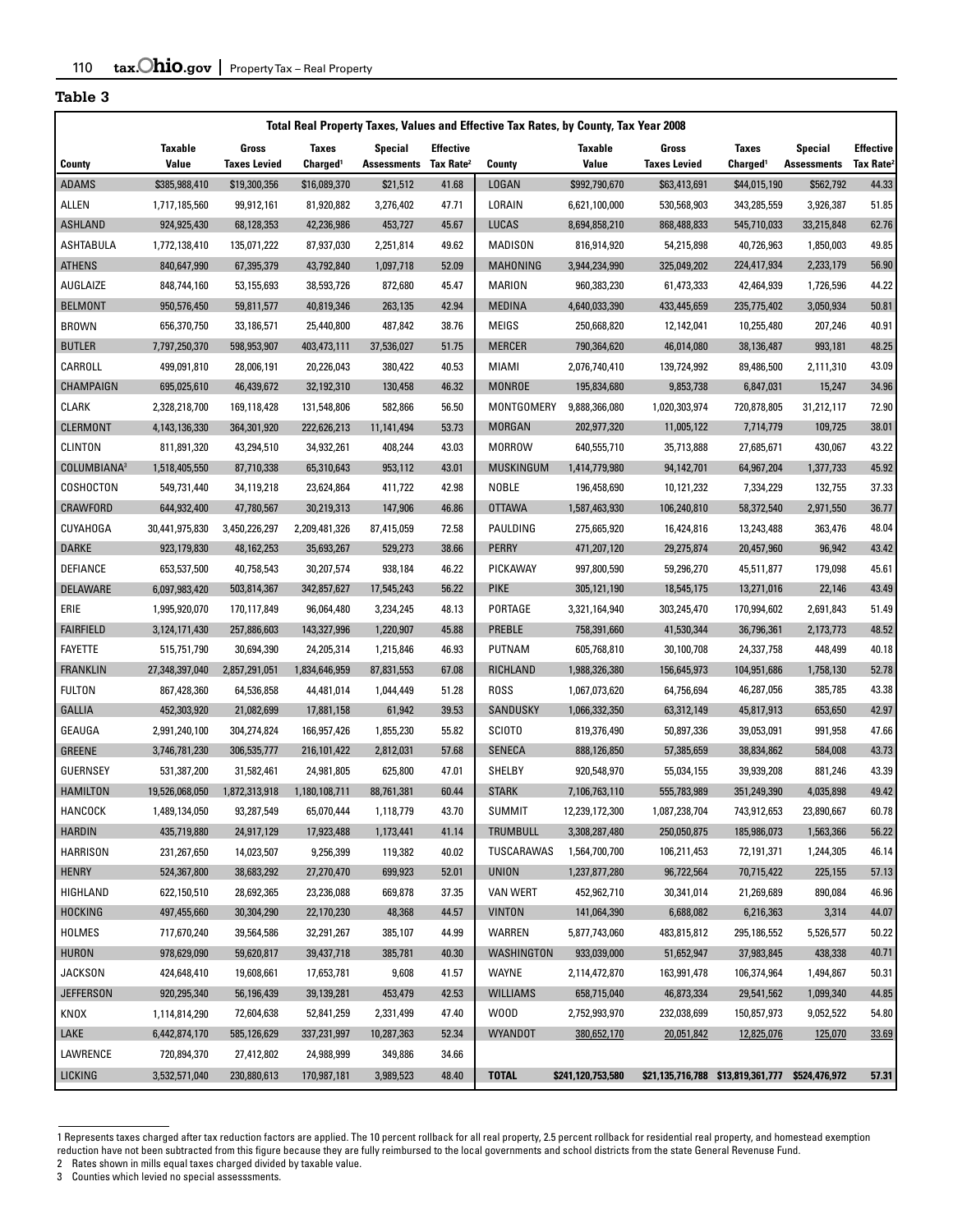| Total Real Property Taxes, Values and Effective Tax Rates, by County, Tax Year 2008 |                              |                           |                          |                                   |                  |                                |                              |                           |                                                 |                         |                       |
|-------------------------------------------------------------------------------------|------------------------------|---------------------------|--------------------------|-----------------------------------|------------------|--------------------------------|------------------------------|---------------------------|-------------------------------------------------|-------------------------|-----------------------|
|                                                                                     | <b>Taxable</b>               | Gross                     | <b>Taxes</b>             | <b>Special</b>                    | <b>Effective</b> |                                | Taxable                      | Gross                     | <b>Taxes</b>                                    | <b>Special</b>          | <b>Effective</b>      |
| County                                                                              | <b>Value</b>                 | <b>Taxes Levied</b>       | Charged <sup>1</sup>     | Assessments Tax Rate <sup>2</sup> |                  | County                         | Value                        | <b>Taxes Levied</b>       | Charged <sup>1</sup>                            | <b>Assessments</b>      | Tax Rate <sup>2</sup> |
| <b>ADAMS</b>                                                                        | \$385,988,410                | \$19,300,356              | \$16,089,370             | \$21,512                          | 41.68            | <b>LOGAN</b>                   | \$992,790,670                | \$63,413,691              | \$44,015,190                                    | \$562,792               | 44.33                 |
| ALLEN                                                                               | 1,717,185,560                | 99,912,161                | 81,920,882               | 3,276,402                         | 47.71            | LORAIN                         | 6,621,100,000                | 530,568,903               | 343,285,559                                     | 3,926,387               | 51.85                 |
| <b>ASHLAND</b><br>ASHTABULA                                                         | 924,925,430<br>1,772,138,410 | 68,128,353<br>135,071,222 | 42,236,986<br>87,937,030 | 453,727<br>2,251,814              | 45.67<br>49.62   | <b>LUCAS</b><br><b>MADISON</b> | 8,694,858,210<br>816,914,920 | 868,488,833<br>54,215,898 | 545,710,033<br>40,726,963                       | 33,215,848<br>1,850,003 | 62.76<br>49.85        |
| <b>ATHENS</b>                                                                       | 840,647,990                  | 67,395,379                | 43,792,840               | 1,097,718                         | 52.09            | MAHONING                       | 3,944,234,990                | 325,049,202               | 224.417.934                                     | 2,233,179               | 56.90                 |
| AUGLAIZE                                                                            |                              | 53,155,693                | 38,593,726               | 872,680                           | 45.47            | <b>MARION</b>                  | 960,383,230                  | 61,473,333                | 42,464,939                                      | 1,726,596               | 44.22                 |
| <b>BELMONT</b>                                                                      | 848,744,160<br>950,576,450   | 59,811,577                | 40,819,346               | 263,135                           | 42.94            | <b>MEDINA</b>                  | 4,640,033,390                | 433,445,659               | 235,775,402                                     | 3,050,934               | 50.81                 |
| <b>BROWN</b>                                                                        | 656,370,750                  | 33,186,571                | 25,440,800               | 487,842                           | 38.76            | <b>MEIGS</b>                   | 250,668,820                  | 12,142,041                | 10,255,480                                      | 207,246                 | 40.91                 |
| <b>BUTLER</b>                                                                       | 7,797,250,370                | 598,953,907               | 403,473,111              | 37,536,027                        | 51.75            | <b>MERCER</b>                  | 790,364,620                  | 46,014,080                | 38,136,487                                      | 993,181                 | 48.25                 |
| CARROLL                                                                             | 499,091,810                  | 28,006,191                | 20,226,043               | 380,422                           | 40.53            | <b>MIAMI</b>                   | 2,076,740,410                | 139,724,992               | 89,486,500                                      | 2,111,310               | 43.09                 |
| CHAMPAIGN                                                                           |                              |                           |                          | 130,458                           | 46.32            | <b>MONROE</b>                  |                              |                           |                                                 |                         | 34.96                 |
|                                                                                     | 695,025,610                  | 46,439,672                | 32,192,310               |                                   |                  | MONTGOMERY                     | 195,834,680<br>9,888,366,080 | 9,853,738                 | 6,847,031                                       | 15,247                  | 72.90                 |
| <b>CLARK</b>                                                                        | 2,328,218,700                | 169,118,428               | 131,548,806              | 582,866                           | 56.50            |                                |                              | 1,020,303,974             | 720,878,805                                     | 31,212,117              |                       |
| <b>CLERMONT</b>                                                                     | 4,143,136,330                | 364,301,920               | 222,626,213              | 11,141,494                        | 53.73            | <b>MORGAN</b>                  | 202,977,320                  | 11,005,122                | 7,714,779                                       | 109,725                 | 38.01                 |
| <b>CLINTON</b>                                                                      | 811,891,320                  | 43,294,510                | 34,932,261               | 408,244                           | 43.03            | <b>MORROW</b>                  | 640,555,710                  | 35,713,888                | 27,685,671                                      | 430,067                 | 43.22                 |
| COLUMBIANA <sup>3</sup>                                                             | 1,518,405,550                | 87,710,338                | 65,310,643               | 953,112                           | 43.01            | <b>MUSKINGUM</b>               | 1,414,779,980                | 94,142,701                | 64,967,204                                      | 1,377,733               | 45.92                 |
| COSHOCTON                                                                           | 549,731,440                  | 34,119,218                | 23,624,864               | 411,722                           | 42.98            | <b>NOBLE</b>                   | 196,458,690                  | 10,121,232                | 7,334,229                                       | 132,755                 | 37.33                 |
| CRAWFORD                                                                            | 644,932,400                  | 47,780,567                | 30,219,313               | 147,906                           | 46.86            | <b>OTTAWA</b>                  | 1,587,463,930                | 106,240,810               | 58,372,540                                      | 2.971.550               | 36.77                 |
| CUYAHOGA                                                                            | 30,441,975,830               | 3,450,226,297             | 2,209,481,326            | 87,415,059                        | 72.58            | PAULDING                       | 275,665,920                  | 16,424,816                | 13,243,488                                      | 363,476                 | 48.04                 |
| DARKE                                                                               | 923,179,830                  | 48,162,253                | 35,693,267               | 529,273                           | 38.66            | <b>PERRY</b>                   | 471,207,120                  | 29,275,874                | 20,457,960                                      | 96,942                  | 43.42                 |
| DEFIANCE                                                                            | 653,537,500                  | 40,758,543                | 30,207,574               | 938,184                           | 46.22            | PICKAWAY                       | 997,800,590                  | 59,296,270                | 45,511,877                                      | 179,098                 | 45.61                 |
| DELAWARE                                                                            | 6,097,983,420                | 503,814,367               | 342,857,627              | 17,545,243                        | 56.22            | <b>PIKE</b>                    | 305,121,190                  | 18,545,175                | 13,271,016                                      | 22,146                  | 43.49                 |
| ERIE                                                                                | 1,995,920,070                | 170,117,849               | 96,064,480               | 3,234,245                         | 48.13            | PORTAGE                        | 3,321,164,940                | 303,245,470               | 170,994,602                                     | 2,691,843               | 51.49                 |
| <b>FAIRFIELD</b>                                                                    | 3,124,171,430                | 257,886,603               | 143,327,996              | 1,220,907                         | 45.88            | PREBLE                         | 758,391,660                  | 41,530,344                | 36,796,361                                      | 2,173,773               | 48.52                 |
| <b>FAYETTE</b>                                                                      | 515,751,790                  | 30,694,390                | 24,205,314               | 1,215,846                         | 46.93            | <b>PUTNAM</b>                  | 605,768,810                  | 30,100,708                | 24,337,758                                      | 448,499                 | 40.18                 |
| <b>FRANKLIN</b>                                                                     | 27,348,397,040               | 2,857,291,051             | 1,834,646,959            | 87,831,553                        | 67.08            | RICHLAND                       | 1,988,326,380                | 156,645,973               | 104,951,686                                     | 1,758,130               | 52.78                 |
| FULTON                                                                              | 867,428,360                  | 64,536,858                | 44,481,014               | 1,044,449                         | 51.28            | <b>ROSS</b>                    | 1,067,073,620                | 64,756,694                | 46,287,056                                      | 385,785                 | 43.38                 |
| GALLIA                                                                              | 452,303,920                  | 21,082,699                | 17,881,158               | 61,942                            | 39.53            | SANDUSKY                       | 1,066,332,350                | 63,312,149                | 45,817,913                                      | 653,650                 | 42.97                 |
| GEAUGA                                                                              | 2,991,240,100                | 304,274,824               | 166,957,426              | 1,855,230                         | 55.82            | <b>SCIOTO</b>                  | 819,376,490                  | 50,897,336                | 39,053,091                                      | 991,958                 | 47.66                 |
| <b>GREENE</b>                                                                       | 3,746,781,230                | 306,535,777               | 216,101,422              | 2,812,031                         | 57.68            | <b>SENECA</b>                  | 888,126,850                  | 57,385,659                | 38,834,862                                      | 584,008                 | 43.73                 |
| <b>GUERNSEY</b>                                                                     | 531,387,200                  | 31,582,461                | 24,981,805               | 625,800                           | 47.01            | SHELBY                         | 920,548,970                  | 55,034,155                | 39,939,208                                      | 881,246                 | 43.39                 |
| <b>HAMILTON</b>                                                                     | 19,526,068,050               | 1,872,313,918             | 1,180,108,711            | 88,761,381                        | 60.44            | <b>STARK</b>                   | 7,106,763,110                | 555,783,989               | 351.249.390                                     | 4.035.898               | 49.42                 |
| HANCOCK                                                                             | 1,489,134,050                | 93,287,549                | 65,070,444               | 1,118,779                         | 43.70            | <b>SUMMIT</b>                  | 12,239,172,300               | 1,087,238,704             | 743,912,653                                     | 23,890,667              | 60.78                 |
| <b>HARDIN</b>                                                                       | 435,719,880                  | 24,917,129                | 17,923,488               | 1,173,441                         | 41.14            | TRUMBULL                       | 3,308,287,480                | 250,050,875               | 185,986,073                                     | 1,563,366               | 56.22                 |
| <b>HARRISON</b>                                                                     | 231,267,650                  | 14,023,507                | 9,256,399                | 119,382                           | 40.02            | TUSCARAWAS                     | 1,564,700,700                | 106,211,453               | 72,191,371                                      | 1,244,305               | 46.14                 |
| <b>HENRY</b>                                                                        | 524,367,800                  | 38,683,292                | 27,270,470               | 699,923                           | 52.01            | <b>UNION</b>                   | 1,237,877,280                | 96,722,564                | 70,715,422                                      | 225,155                 | 57.13                 |
| HIGHLAND                                                                            | 622,150,510                  | 28,692,365                | 23,236,088               | 669,878                           | 37.35            | <b>VAN WERT</b>                | 452,962,710                  | 30,341,014                | 21,269,689                                      | 890,084                 | 46.96                 |
| <b>HOCKING</b>                                                                      | 497,455,660                  | 30,304,290                | 22,170,230               | 48,368                            | 44.57            | <b>VINTON</b>                  | 141,064,390                  | 6,688,082                 | 6,216,363                                       | 3,314                   | 44.07                 |
| <b>HOLMES</b>                                                                       | 717,670,240                  | 39,564,586                | 32,291,267               | 385,107                           | 44.99            | WARREN                         | 5,877,743,060                | 483,815,812               | 295,186,552                                     | 5,526,577               | 50.22                 |
| HURON                                                                               | 978,629,090                  | 59,620,817                | 39,437,718               | 385,781                           | 40.30            | <b>WASHINGTON</b>              | 933,039,000                  | 51,652,947                | 37,983,845                                      | 438,338                 | 40.71                 |
| <b>JACKSON</b>                                                                      | 424,648,410                  | 19,608,661                | 17,653,781               | 9,608                             | 41.57            | <b>WAYNE</b>                   | 2,114,472,870                | 163,991,478               | 106,374,964                                     | 1,494,867               | 50.31                 |
| <b>JEFFERSON</b>                                                                    | 920,295,340                  | 56,196,439                | 39,139,281               | 453,479                           | 42.53            | <b>WILLIAMS</b>                | 658,715,040                  | 46,873,334                | 29,541,562                                      | 1,099,340               | 44.85                 |
| KNOX                                                                                | 1,114,814,290                | 72,604,638                | 52,841,259               | 2,331,499                         | 47.40            | W00D                           | 2,752,993,970                | 232,038,699               | 150,857,973                                     | 9,052,522               | 54.80                 |
| LAKE                                                                                | 6,442,874,170                | 585,126,629               | 337,231,997              | 10,287,363                        | 52.34            | WYANDOT                        | 380,652,170                  | 20,051,842                | 12,825,076                                      | 125,070                 | 33.69                 |
| LAWRENCE                                                                            | 720,894,370                  | 27,412,802                | 24,988,999               | 349,886                           | 34.66            |                                |                              |                           |                                                 |                         |                       |
| LICKING                                                                             | 3,532,571,040                | 230,880,613               | 170,987,181              | 3,989,523                         | 48.40            | <b>TOTAL</b>                   | \$241,120,753,580            |                           | \$21,135,716,788 \$13,819,361,777 \$524,476,972 |                         | 57.31                 |

<sup>1</sup> Represents taxes charged after tax reduction factors are applied. The 10 percent rollback for all real property, 2.5 percent rollback for residential real property, and homestead exemption reduction have not been subtracted from this figure because they are fully reimbursed to the local governments and school districts from the state General Revenuse Fund.

<sup>2</sup> Rates shown in mills equal taxes charged divided by taxable value.

<sup>3</sup> Counties which levied no special assesssments.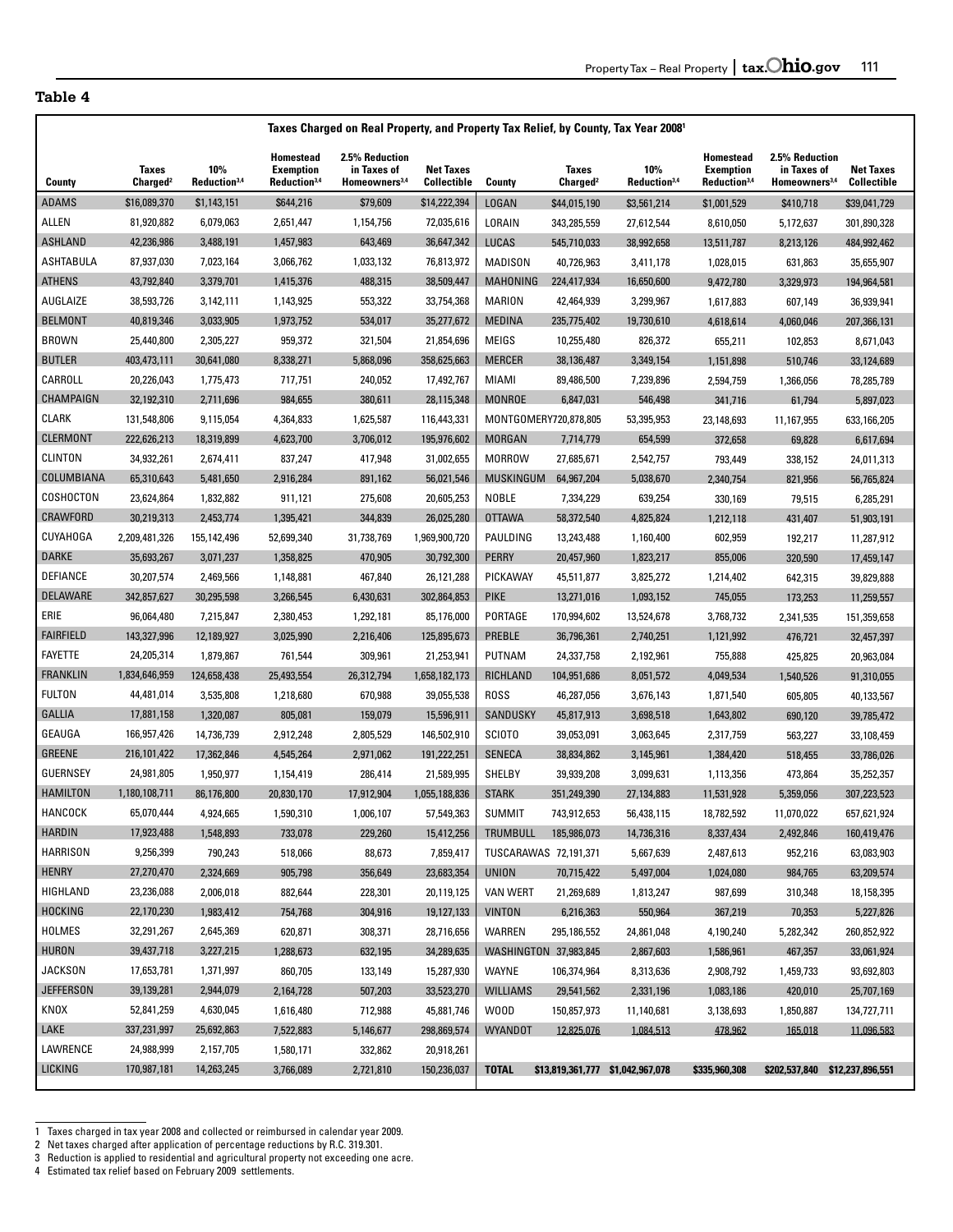|                  | Taxes Charged on Real Property, and Property Tax Relief, by County, Tax Year 2008 <sup>1</sup> |                                 |                                                                  |                                                            |                                        |                  |                               |                                  |                                                           |                                                            |                                        |
|------------------|------------------------------------------------------------------------------------------------|---------------------------------|------------------------------------------------------------------|------------------------------------------------------------|----------------------------------------|------------------|-------------------------------|----------------------------------|-----------------------------------------------------------|------------------------------------------------------------|----------------------------------------|
| County           | <b>Taxes</b><br>Charged <sup>2</sup>                                                           | 10%<br>Reduction <sup>3,4</sup> | <b>Homestead</b><br><b>Exemption</b><br>Reduction <sup>3,4</sup> | 2.5% Reduction<br>in Taxes of<br>Homeowners <sup>3,4</sup> | <b>Net Taxes</b><br><b>Collectible</b> | County           | Taxes<br>Charged <sup>2</sup> | 10%<br>Reduction <sup>3,4</sup>  | Homestead<br><b>Exemption</b><br>Reduction <sup>3,4</sup> | 2.5% Reduction<br>in Taxes of<br>Homeowners <sup>3,4</sup> | <b>Net Taxes</b><br><b>Collectible</b> |
| ADAMS            | \$16,089,370                                                                                   | \$1,143,151                     | \$644,216                                                        | \$79,609                                                   | \$14,222,394                           | LOGAN            | \$44,015,190                  | \$3,561,214                      | \$1,001,529                                               | \$410,718                                                  | \$39,041,729                           |
| ALLEN            | 81,920,882                                                                                     | 6,079,063                       | 2,651,447                                                        | 1,154,756                                                  | 72,035,616                             | LORAIN           | 343,285,559                   | 27,612,544                       | 8,610,050                                                 | 5,172,637                                                  | 301,890,328                            |
| ASHLAND          | 42,236,986                                                                                     | 3,488,191                       | 1,457,983                                                        | 643,469                                                    | 36,647,342                             | LUCAS            | 545,710,033                   | 38,992,658                       | 13,511,787                                                | 8,213,126                                                  | 484,992,462                            |
| ASHTABULA        | 87,937,030                                                                                     | 7,023,164                       | 3,066,762                                                        | 1,033,132                                                  | 76,813,972                             | MADISON          | 40,726,963                    | 3,411,178                        | 1,028,015                                                 | 631,863                                                    | 35,655,907                             |
| <b>ATHENS</b>    | 43,792,840                                                                                     | 3,379,701                       | 1,415,376                                                        | 488,315                                                    | 38,509,447                             | MAHONING         | 224,417,934                   | 16,650,600                       | 9,472,780                                                 | 3,329,973                                                  | 194,964,581                            |
| AUGLAIZE         | 38,593,726                                                                                     | 3,142,111                       | 1,143,925                                                        | 553,322                                                    | 33,754,368                             | <b>MARION</b>    | 42,464,939                    | 3,299,967                        | 1,617,883                                                 | 607,149                                                    | 36,939,941                             |
| <b>BELMONT</b>   | 40,819,346                                                                                     | 3,033,905                       | 1,973,752                                                        | 534,017                                                    | 35,277,672                             | <b>MEDINA</b>    | 235,775,402                   | 19,730,610                       | 4,618,614                                                 | 4,060,046                                                  | 207,366,131                            |
| <b>BROWN</b>     | 25,440,800                                                                                     | 2,305,227                       | 959,372                                                          | 321,504                                                    | 21,854,696                             | MEIGS            | 10,255,480                    | 826,372                          | 655,211                                                   | 102,853                                                    | 8,671,043                              |
| <b>BUTLER</b>    | 403,473,111                                                                                    | 30,641,080                      | 8,338,271                                                        | 5,868,096                                                  | 358,625,663                            | <b>MERCER</b>    | 38,136,487                    | 3,349,154                        | 1,151,898                                                 | 510,746                                                    | 33,124,689                             |
| CARROLL          | 20,226,043                                                                                     | 1,775,473                       | 717,751                                                          | 240,052                                                    | 17,492,767                             | <b>MIAMI</b>     | 89,486,500                    | 7,239,896                        | 2,594,759                                                 | 1,366,056                                                  | 78,285,789                             |
| CHAMPAIGN        | 32,192,310                                                                                     | 2,711,696                       | 984,655                                                          | 380,611                                                    | 28,115,348                             | <b>MONROE</b>    | 6,847,031                     | 546,498                          | 341,716                                                   | 61,794                                                     | 5,897,023                              |
| <b>CLARK</b>     | 131,548,806                                                                                    | 9,115,054                       | 4,364,833                                                        | 1,625,587                                                  | 116,443,331                            |                  | MONTGOMERY720,878,805         | 53,395,953                       | 23,148,693                                                | 11,167,955                                                 | 633,166,205                            |
| CLERMONT         | 222,626,213                                                                                    | 18,319,899                      | 4,623,700                                                        | 3,706,012                                                  | 195,976,602                            | <b>MORGAN</b>    | 7,714,779                     | 654,599                          | 372,658                                                   | 69,828                                                     | 6,617,694                              |
| <b>CLINTON</b>   | 34,932,261                                                                                     | 2,674,411                       | 837,247                                                          | 417,948                                                    | 31,002,655                             | <b>MORROW</b>    | 27,685,671                    | 2,542,757                        | 793,449                                                   | 338,152                                                    | 24,011,313                             |
| COLUMBIANA       | 65,310,643                                                                                     | 5,481,650                       | 2,916,284                                                        | 891,162                                                    | 56,021,546                             | <b>MUSKINGUM</b> | 64,967,204                    | 5,038,670                        | 2,340,754                                                 | 821,956                                                    | 56,765,824                             |
| COSHOCTON        | 23,624,864                                                                                     | 1,832,882                       | 911,121                                                          | 275,608                                                    | 20,605,253                             | <b>NOBLE</b>     | 7,334,229                     | 639,254                          | 330,169                                                   | 79,515                                                     | 6,285,291                              |
| CRAWFORD         | 30,219,313                                                                                     | 2,453,774                       | 1,395,421                                                        | 344,839                                                    | 26,025,280                             | <b>OTTAWA</b>    | 58,372,540                    | 4,825,824                        | 1,212,118                                                 | 431,407                                                    | 51,903,191                             |
| <b>CUYAHOGA</b>  | 2,209,481,326                                                                                  | 155,142,496                     | 52,699,340                                                       | 31,738,769                                                 | 1,969,900,720                          | PAULDING         | 13,243,488                    | 1,160,400                        | 602,959                                                   | 192,217                                                    | 11,287,912                             |
| <b>DARKE</b>     | 35,693,267                                                                                     | 3,071,237                       | 1,358,825                                                        | 470,905                                                    | 30,792,300                             | <b>PERRY</b>     | 20,457,960                    | 1,823,217                        | 855,006                                                   | 320,590                                                    | 17,459,147                             |
| DEFIANCE         | 30,207,574                                                                                     | 2,469,566                       | 1,148,881                                                        | 467,840                                                    | 26,121,288                             | PICKAWAY         | 45,511,877                    | 3,825,272                        | 1,214,402                                                 | 642,315                                                    | 39,829,888                             |
| DELAWARE         | 342,857,627                                                                                    | 30,295,598                      | 3,266,545                                                        | 6,430,631                                                  | 302,864,853                            | <b>PIKE</b>      | 13,271,016                    | 1,093,152                        | 745,055                                                   | 173,253                                                    | 11,259,557                             |
| ERIE             | 96,064,480                                                                                     | 7,215,847                       | 2,380,453                                                        | 1,292,181                                                  | 85,176,000                             | PORTAGE          | 170,994,602                   | 13,524,678                       | 3,768,732                                                 | 2,341,535                                                  | 151,359,658                            |
| FAIRFIELD        | 143,327,996                                                                                    | 12,189,927                      | 3,025,990                                                        | 2,216,406                                                  | 125,895,673                            | PREBLE           | 36,796,361                    | 2,740,251                        | 1,121,992                                                 | 476,721                                                    | 32,457,397                             |
| FAYETTE          | 24,205,314                                                                                     | 1,879,867                       | 761,544                                                          | 309,961                                                    | 21,253,941                             | PUTNAM           | 24,337,758                    | 2,192,961                        | 755,888                                                   | 425,825                                                    | 20,963,084                             |
| FRANKLIN         | 1,834,646,959                                                                                  | 124,658,438                     | 25,493,554                                                       | 26,312,794                                                 | 1,658,182,173                          | RICHLAND         | 104,951,686                   | 8,051,572                        | 4,049,534                                                 | 1,540,526                                                  | 91,310,055                             |
| <b>FULTON</b>    | 44,481,014                                                                                     | 3,535,808                       | 1,218,680                                                        | 670,988                                                    | 39,055,538                             | <b>ROSS</b>      | 46,287,056                    | 3,676,143                        | 1,871,540                                                 | 605,805                                                    | 40,133,567                             |
| GALLIA           | 17,881,158                                                                                     | 1,320,087                       | 805,081                                                          | 159,079                                                    | 15,596,911                             | SANDUSKY         | 45,817,913                    | 3,698,518                        | 1,643,802                                                 | 690,120                                                    | 39,785,472                             |
| GEAUGA           | 166,957,426                                                                                    | 14,736,739                      | 2,912,248                                                        | 2,805,529                                                  | 146,502,910                            | <b>SCIOTO</b>    | 39,053,091                    | 3,063,645                        | 2,317,759                                                 | 563,227                                                    | 33,108,459                             |
| GREENE           | 216,101,422                                                                                    | 17,362,846                      | 4,545,264                                                        | 2,971,062                                                  | 191,222,251                            | SENECA           | 38,834,862                    | 3,145,961                        | 1,384,420                                                 | 518,455                                                    | 33,786,026                             |
| <b>GUERNSEY</b>  | 24,981,805                                                                                     | 1,950,977                       | 1,154,419                                                        | 286,414                                                    | 21,589,995                             | SHELBY           | 39,939,208                    | 3,099,631                        | 1,113,356                                                 | 473,864                                                    | 35,252,357                             |
| <b>HAMILTON</b>  | 1,180,108,711                                                                                  | 86,176,800                      | 20,830,170                                                       | 17,912,904                                                 | 1,055,188,836                          | <b>STARK</b>     | 351,249,390                   | 27,134,883                       | 11,531,928                                                | 5,359,056                                                  | 307,223,523                            |
| HANCOCK          | 65,070,444                                                                                     | 4,924,665                       | 1,590,310                                                        | 1,006,107                                                  | 57,549,363                             | <b>SUMMIT</b>    | 743,912,653                   | 56,438,115                       | 18,782,592                                                | 11,070,022                                                 | 657,621,924                            |
| HARDIN           | 17,923,488                                                                                     | 1,548,893                       | 733,078                                                          | 229,260                                                    | 15,412,256                             |                  | TRUMBULL 185,986,073          | 14,736,316                       | 8,337,434                                                 | 2,492,846                                                  | 160,419,476                            |
| <b>HARRISON</b>  | 9,256,399                                                                                      | 790,243                         | 518,066                                                          | 88,673                                                     | 7,859,417                              |                  | TUSCARAWAS 72,191,371         | 5,667,639                        | 2,487,613                                                 | 952,216                                                    | 63,083,903                             |
| HENRY            | 27,270,470                                                                                     | 2,324,669                       | 905,798                                                          | 356,649                                                    | 23,683,354                             | <b>UNION</b>     | 70,715,422                    | 5,497,004                        | 1,024,080                                                 | 984,765                                                    | 63,209,574                             |
| HIGHLAND         | 23,236,088                                                                                     | 2,006,018                       | 882,644                                                          | 228,301                                                    | 20,119,125                             | <b>VAN WERT</b>  | 21,269,689                    | 1,813,247                        | 987,699                                                   | 310,348                                                    | 18,158,395                             |
| HOCKING          | 22,170,230                                                                                     | 1,983,412                       | 754,768                                                          | 304,916                                                    | 19,127,133                             | <b>VINTON</b>    | 6,216,363                     | 550,964                          | 367,219                                                   | 70,353                                                     | 5,227,826                              |
| HOLMES           | 32,291,267                                                                                     | 2,645,369                       | 620,871                                                          | 308,371                                                    | 28,716,656                             | WARREN           | 295,186,552                   | 24,861,048                       | 4,190,240                                                 | 5,282,342                                                  | 260,852,922                            |
| HURON            | 39,437,718                                                                                     | 3,227,215                       | 1,288,673                                                        | 632,195                                                    | 34,289,635                             |                  | WASHINGTON 37,983,845         | 2,867,603                        | 1,586,961                                                 | 467,357                                                    | 33,061,924                             |
| JACKSON          | 17,653,781                                                                                     | 1,371,997                       | 860,705                                                          | 133,149                                                    | 15,287,930                             | WAYNE            | 106,374,964                   | 8,313,636                        | 2,908,792                                                 | 1,459,733                                                  | 93,692,803                             |
| <b>JEFFERSON</b> | 39,139,281                                                                                     | 2,944,079                       | 2,164,728                                                        | 507,203                                                    | 33,523,270                             | <b>WILLIAMS</b>  | 29,541,562                    | 2,331,196                        | 1,083,186                                                 | 420,010                                                    | 25,707,169                             |
| KNOX             | 52,841,259                                                                                     | 4,630,045                       | 1,616,480                                                        | 712,988                                                    | 45,881,746                             | W00D             | 150,857,973                   | 11,140,681                       | 3,138,693                                                 | 1,850,887                                                  | 134,727,711                            |
| LAKE             | 337,231,997                                                                                    | 25,692,863                      | 7,522,883                                                        | 5,146,677                                                  | 298,869,574                            | <b>WYANDOT</b>   | 12,825,076                    | 1,084,513                        | 478.962                                                   | 165,018                                                    | 11,096,583                             |
| LAWRENCE         | 24,988,999                                                                                     | 2,157,705                       | 1,580,171                                                        | 332,862                                                    | 20,918,261                             |                  |                               |                                  |                                                           |                                                            |                                        |
| <b>LICKING</b>   | 170,987,181                                                                                    | 14,263,245                      | 3,766,089                                                        | 2,721,810                                                  | 150,236,037                            | <b>TOTAL</b>     |                               | \$13,819,361,777 \$1,042,967,078 | \$335,960,308                                             |                                                            | \$202,537,840 \$12,237,896,551         |

<sup>1</sup> Taxes charged in tax year 2008 and collected or reimbursed in calendar year 2009.

j

<sup>2</sup> Net taxes charged after application of percentage reductions by R.C. 319.301.

<sup>3</sup> Reduction is applied to residential and agricultural property not exceeding one acre.

<sup>4</sup> Estimated tax relief based on February 2009 settlements.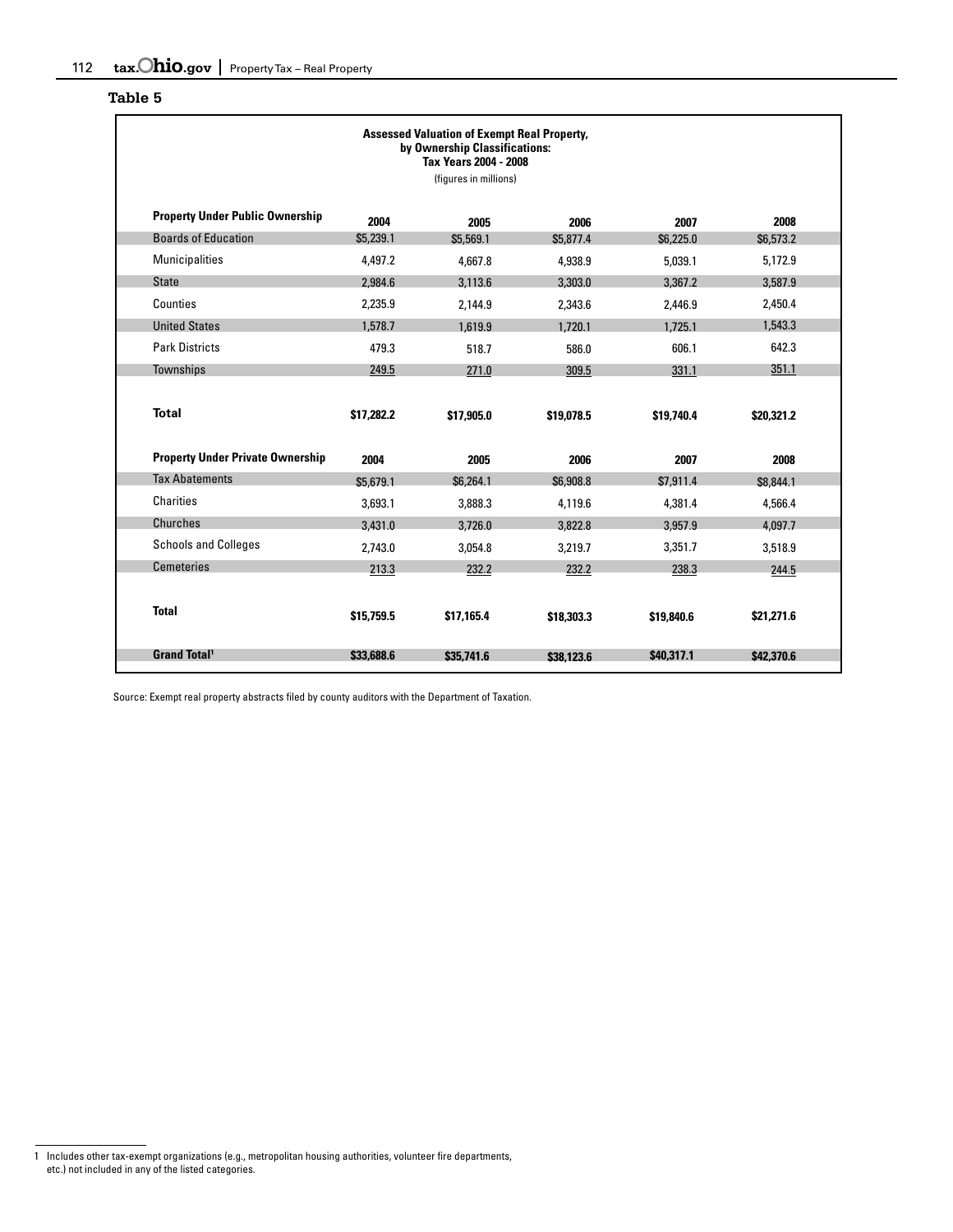| <b>Assessed Valuation of Exempt Real Property,</b><br>by Ownership Classifications:<br>Tax Years 2004 - 2008<br>(figures in millions) |            |            |            |            |            |  |  |  |
|---------------------------------------------------------------------------------------------------------------------------------------|------------|------------|------------|------------|------------|--|--|--|
| <b>Property Under Public Ownership</b>                                                                                                | 2004       | 2005       | 2006       | 2007       | 2008       |  |  |  |
| <b>Boards of Education</b>                                                                                                            | \$5,239.1  | \$5,569.1  | \$5,877.4  | \$6,225.0  | \$6,573.2  |  |  |  |
| <b>Municipalities</b>                                                                                                                 | 4.497.2    | 4,667.8    | 4,938.9    | 5,039.1    | 5,172.9    |  |  |  |
| <b>State</b>                                                                                                                          | 2,984.6    | 3.113.6    | 3,303.0    | 3.367.2    | 3.587.9    |  |  |  |
| Counties                                                                                                                              | 2,235.9    | 2,144.9    | 2,343.6    | 2,446.9    | 2,450.4    |  |  |  |
| <b>United States</b>                                                                                                                  | 1,578.7    | 1,619.9    | 1,720.1    | 1,725.1    | 1,543.3    |  |  |  |
| <b>Park Districts</b>                                                                                                                 | 479.3      | 518.7      | 586.0      | 606.1      | 642.3      |  |  |  |
| Townships                                                                                                                             | 249.5      | 271.0      | 309.5      | 331.1      | 351.1      |  |  |  |
| <b>Total</b>                                                                                                                          | \$17,282.2 | \$17,905.0 | \$19,078.5 | \$19,740.4 | \$20,321.2 |  |  |  |
| <b>Property Under Private Ownership</b>                                                                                               | 2004       | 2005       | 2006       | 2007       | 2008       |  |  |  |
| <b>Tax Abatements</b>                                                                                                                 | \$5.679.1  | \$6,264.1  | \$6,908.8  | \$7,911.4  | \$8,844.1  |  |  |  |
| <b>Charities</b>                                                                                                                      | 3,693.1    | 3,888.3    | 4,119.6    | 4,381.4    | 4,566.4    |  |  |  |
| Churches                                                                                                                              | 3,431.0    | 3,726.0    | 3,822.8    | 3,957.9    | 4,097.7    |  |  |  |
| <b>Schools and Colleges</b>                                                                                                           | 2,743.0    | 3,054.8    | 3.219.7    | 3.351.7    | 3,518.9    |  |  |  |
| <b>Cemeteries</b>                                                                                                                     | 213.3      | 232.2      | 232.2      | 238.3      | 244.5      |  |  |  |
| <b>Total</b>                                                                                                                          | \$15,759.5 | \$17.165.4 | \$18,303.3 | \$19,840.6 | \$21,271.6 |  |  |  |
| <b>Grand Total<sup>1</sup></b>                                                                                                        | \$33,688.6 | \$35,741.6 | \$38,123.6 | \$40,317.1 | \$42,370.6 |  |  |  |

Source: Exempt real property abstracts filed by county auditors with the Department of Taxation.

<sup>1</sup> Includes other tax-exempt organizations (e.g., metropolitan housing authorities, volunteer fire departments, etc.) not included in any of the listed categories.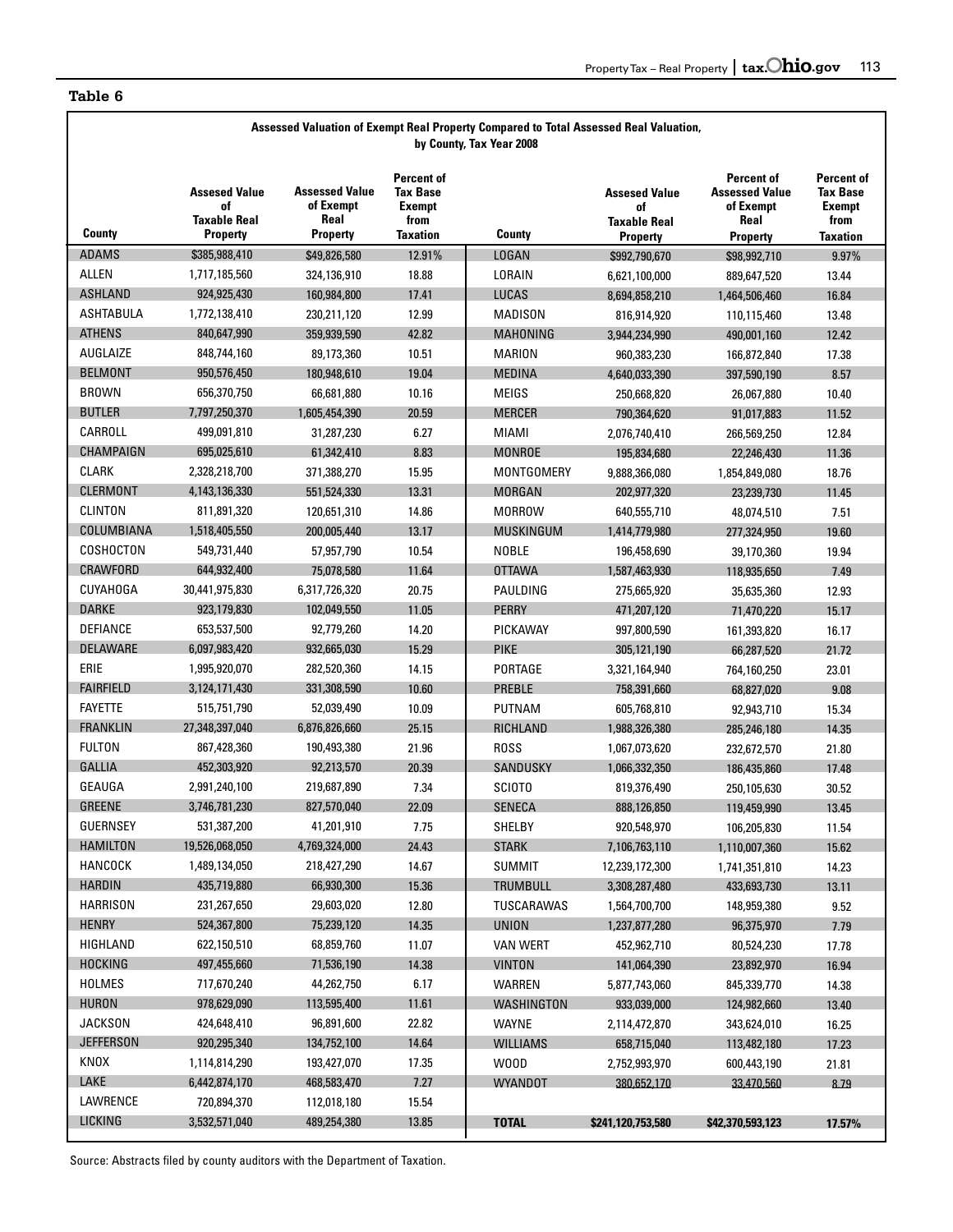| Assessed Valuation of Exempt Real Property Compared to Total Assessed Real Valuation,<br>by County, Tax Year 2008 |                                                                      |                                                               |                                                                                  |                   |                                                               |                                                                             |                                                                           |  |  |  |
|-------------------------------------------------------------------------------------------------------------------|----------------------------------------------------------------------|---------------------------------------------------------------|----------------------------------------------------------------------------------|-------------------|---------------------------------------------------------------|-----------------------------------------------------------------------------|---------------------------------------------------------------------------|--|--|--|
| County                                                                                                            | <b>Assesed Value</b><br>of<br><b>Taxable Real</b><br><b>Property</b> | <b>Assessed Value</b><br>of Exempt<br>Real<br><b>Property</b> | <b>Percent of</b><br><b>Tax Base</b><br><b>Exempt</b><br>from<br><b>Taxation</b> | County            | <b>Assesed Value</b><br>of<br><b>Taxable Real</b><br>Property | Percent of<br><b>Assessed Value</b><br>of Exempt<br>Real<br><b>Property</b> | Percent of<br><b>Tax Base</b><br><b>Exempt</b><br>from<br><b>Taxation</b> |  |  |  |
| <b>ADAMS</b>                                                                                                      | \$385,988,410                                                        | \$49,826,580                                                  | 12.91%                                                                           | <b>LOGAN</b>      | \$992,790,670                                                 | \$98,992,710                                                                | 9.97%                                                                     |  |  |  |
| <b>ALLEN</b>                                                                                                      | 1,717,185,560                                                        | 324,136,910                                                   | 18.88                                                                            | LORAIN            | 6,621,100,000                                                 | 889,647,520                                                                 | 13.44                                                                     |  |  |  |
| <b>ASHLAND</b>                                                                                                    | 924,925,430                                                          | 160,984,800                                                   | 17.41                                                                            | LUCAS             | 8,694,858,210                                                 | 1,464,506,460                                                               | 16.84                                                                     |  |  |  |
| <b>ASHTABULA</b>                                                                                                  | 1,772,138,410                                                        | 230,211,120                                                   | 12.99                                                                            | <b>MADISON</b>    | 816,914,920                                                   | 110,115,460                                                                 | 13.48                                                                     |  |  |  |
| <b>ATHENS</b>                                                                                                     | 840.647.990                                                          | 359,939,590                                                   | 42.82                                                                            | MAHONING          | 3,944,234,990                                                 | 490,001,160                                                                 | 12.42                                                                     |  |  |  |
| AUGLAIZE                                                                                                          | 848,744,160                                                          | 89,173,360                                                    | 10.51                                                                            | MARION            | 960,383,230                                                   | 166,872,840                                                                 | 17.38                                                                     |  |  |  |
| <b>BELMONT</b>                                                                                                    | 950,576,450                                                          | 180,948,610                                                   | 19.04                                                                            | <b>MEDINA</b>     | 4,640,033,390                                                 | 397,590,190                                                                 | 8.57                                                                      |  |  |  |
| <b>BROWN</b>                                                                                                      | 656,370,750                                                          | 66,681,880                                                    | 10.16                                                                            | <b>MEIGS</b>      | 250,668,820                                                   | 26,067,880                                                                  | 10.40                                                                     |  |  |  |
| <b>BUTLER</b>                                                                                                     | 7,797,250,370                                                        | 1,605,454,390                                                 | 20.59                                                                            | <b>MERCER</b>     | 790,364,620                                                   | 91,017,883                                                                  | 11.52                                                                     |  |  |  |
| CARROLL                                                                                                           | 499,091,810                                                          | 31,287,230                                                    | 6.27                                                                             | MIAMI             | 2,076,740,410                                                 | 266,569,250                                                                 | 12.84                                                                     |  |  |  |
| <b>CHAMPAIGN</b>                                                                                                  | 695,025,610                                                          | 61,342,410                                                    | 8.83                                                                             | <b>MONROE</b>     | 195,834,680                                                   | 22,246,430                                                                  | 11.36                                                                     |  |  |  |
| CLARK                                                                                                             | 2,328,218,700                                                        | 371,388,270                                                   | 15.95                                                                            | <b>MONTGOMERY</b> | 9,888,366,080                                                 | 1,854,849,080                                                               | 18.76                                                                     |  |  |  |
| <b>CLERMONT</b>                                                                                                   | 4,143,136,330                                                        | 551,524,330                                                   | 13.31                                                                            | <b>MORGAN</b>     | 202,977,320                                                   | 23,239,730                                                                  | 11.45                                                                     |  |  |  |
| CLINTON                                                                                                           | 811,891,320                                                          | 120,651,310                                                   | 14.86                                                                            | <b>MORROW</b>     | 640,555,710                                                   | 48,074,510                                                                  | 7.51                                                                      |  |  |  |
| COLUMBIANA                                                                                                        | 1,518,405,550                                                        | 200,005,440                                                   | 13.17                                                                            | <b>MUSKINGUM</b>  | 1,414,779,980                                                 | 277,324,950                                                                 | 19.60                                                                     |  |  |  |
| COSHOCTON                                                                                                         | 549,731,440                                                          | 57,957,790                                                    | 10.54                                                                            | <b>NOBLE</b>      | 196,458,690                                                   | 39,170,360                                                                  | 19.94                                                                     |  |  |  |
| CRAWFORD                                                                                                          | 644,932,400                                                          | 75,078,580                                                    | 11.64                                                                            | <b>OTTAWA</b>     | 1,587,463,930                                                 | 118,935,650                                                                 | 7.49                                                                      |  |  |  |
| CUYAHOGA                                                                                                          | 30,441,975,830                                                       | 6,317,726,320                                                 | 20.75                                                                            | PAULDING          | 275,665,920                                                   | 35,635,360                                                                  | 12.93                                                                     |  |  |  |
| <b>DARKE</b>                                                                                                      | 923,179,830                                                          | 102,049,550                                                   | 11.05                                                                            | <b>PERRY</b>      | 471,207,120                                                   | 71,470,220                                                                  | 15.17                                                                     |  |  |  |
| DEFIANCE                                                                                                          | 653,537,500                                                          | 92,779,260                                                    | 14.20                                                                            | PICKAWAY          | 997,800,590                                                   | 161,393,820                                                                 | 16.17                                                                     |  |  |  |
| DELAWARE                                                                                                          | 6,097,983,420                                                        | 932,665,030                                                   | 15.29                                                                            | <b>PIKE</b>       | 305,121,190                                                   | 66,287,520                                                                  | 21.72                                                                     |  |  |  |
| ERIE                                                                                                              | 1,995,920,070                                                        | 282,520,360                                                   | 14.15                                                                            | PORTAGE           | 3,321,164,940                                                 | 764,160,250                                                                 | 23.01                                                                     |  |  |  |
| <b>FAIRFIELD</b>                                                                                                  | 3,124,171,430                                                        | 331,308,590                                                   | 10.60                                                                            | <b>PREBLE</b>     | 758,391,660                                                   | 68,827,020                                                                  | 9.08                                                                      |  |  |  |
| <b>FAYETTE</b>                                                                                                    | 515,751,790                                                          | 52,039,490                                                    | 10.09                                                                            | <b>PUTNAM</b>     | 605,768,810                                                   | 92,943,710                                                                  | 15.34                                                                     |  |  |  |
| <b>FRANKLIN</b>                                                                                                   | 27,348,397,040                                                       | 6,876,826,660                                                 | 25.15                                                                            | <b>RICHLAND</b>   | 1,988,326,380                                                 | 285,246,180                                                                 | 14.35                                                                     |  |  |  |
| <b>FULTON</b>                                                                                                     | 867,428,360                                                          | 190,493,380                                                   | 21.96                                                                            | <b>ROSS</b>       | 1,067,073,620                                                 | 232,672,570                                                                 | 21.80                                                                     |  |  |  |
| <b>GALLIA</b>                                                                                                     | 452,303,920                                                          | 92,213,570                                                    | 20.39                                                                            | <b>SANDUSKY</b>   | 1,066,332,350                                                 | 186,435,860                                                                 | 17.48                                                                     |  |  |  |
| <b>GEAUGA</b>                                                                                                     | 2,991,240,100                                                        | 219,687,890                                                   | 7.34                                                                             | SCIOTO            | 819,376,490                                                   | 250,105,630                                                                 | 30.52                                                                     |  |  |  |
| <b>GREENE</b>                                                                                                     | 3,746,781,230                                                        | 827,570,040                                                   | 22.09                                                                            | <b>SENECA</b>     | 888,126,850                                                   | 119,459,990                                                                 | 13.45                                                                     |  |  |  |
| <b>GUERNSEY</b>                                                                                                   | 531,387,200                                                          | 41,201,910                                                    | 7.75                                                                             | SHELBY            | 920,548,970                                                   | 106,205,830                                                                 | 11.54                                                                     |  |  |  |
| <b>HAMILTON</b>                                                                                                   | 19,526,068,050                                                       | 4,769,324,000                                                 | 24.43                                                                            | <b>STARK</b>      | 7,106,763,110                                                 | 1,110,007,360                                                               | 15.62                                                                     |  |  |  |
| <b>HANCOCK</b>                                                                                                    | 1,489,134,050                                                        | 218,427,290                                                   | 14.67                                                                            | <b>SUMMIT</b>     | 12,239,172,300                                                | 1,741,351,810                                                               | 14.23                                                                     |  |  |  |
| <b>HARDIN</b>                                                                                                     | 435,719,880                                                          | 66,930,300                                                    | 15.36                                                                            | TRUMBULL          | 3,308,287,480                                                 | 433,693,730                                                                 | 13.11                                                                     |  |  |  |
| <b>HARRISON</b>                                                                                                   | 231,267,650                                                          | 29,603,020                                                    | 12.80                                                                            | TUSCARAWAS        | 1,564,700,700                                                 | 148,959,380                                                                 | 9.52                                                                      |  |  |  |
| <b>HENRY</b>                                                                                                      | 524,367,800                                                          | 75,239,120                                                    | 14.35                                                                            | <b>UNION</b>      | 1,237,877,280                                                 | 96,375,970                                                                  | 7.79                                                                      |  |  |  |
| HIGHLAND                                                                                                          | 622,150,510                                                          | 68,859,760                                                    | 11.07                                                                            | <b>VAN WERT</b>   | 452,962,710                                                   | 80,524,230                                                                  | 17.78                                                                     |  |  |  |
| <b>HOCKING</b>                                                                                                    | 497,455,660                                                          | 71,536,190                                                    | 14.38                                                                            | <b>VINTON</b>     | 141,064,390                                                   | 23,892,970                                                                  | 16.94                                                                     |  |  |  |
| HOLMES                                                                                                            | 717,670,240                                                          | 44,262,750                                                    | 6.17                                                                             | <b>WARREN</b>     | 5,877,743,060                                                 | 845,339,770                                                                 | 14.38                                                                     |  |  |  |
| <b>HURON</b>                                                                                                      | 978,629,090                                                          | 113,595,400                                                   | 11.61                                                                            | WASHINGTON        | 933,039,000                                                   | 124,982,660                                                                 | 13.40                                                                     |  |  |  |
| <b>JACKSON</b>                                                                                                    | 424,648,410                                                          | 96,891,600                                                    | 22.82                                                                            | <b>WAYNE</b>      | 2,114,472,870                                                 | 343,624,010                                                                 | 16.25                                                                     |  |  |  |
| <b>JEFFERSON</b>                                                                                                  | 920,295,340                                                          | 134,752,100                                                   | 14.64                                                                            | <b>WILLIAMS</b>   | 658,715,040                                                   | 113,482,180                                                                 | 17.23                                                                     |  |  |  |
| KNOX                                                                                                              | 1,114,814,290                                                        | 193,427,070                                                   | 17.35                                                                            | W00D              | 2,752,993,970                                                 | 600,443,190                                                                 | 21.81                                                                     |  |  |  |
| LAKE                                                                                                              | 6,442,874,170                                                        | 468,583,470                                                   | 7.27                                                                             | <b>WYANDOT</b>    | 380,652,170                                                   | 33,470,560                                                                  | 8.79                                                                      |  |  |  |
| LAWRENCE                                                                                                          | 720,894,370                                                          | 112,018,180                                                   | 15.54                                                                            |                   |                                                               |                                                                             |                                                                           |  |  |  |
| LICKING                                                                                                           | 3,532,571,040                                                        | 489,254,380                                                   | 13.85                                                                            | <b>TOTAL</b>      | \$241,120,753,580                                             | \$42,370,593,123                                                            | 17.57%                                                                    |  |  |  |

Source: Abstracts filed by county auditors with the Department of Taxation.